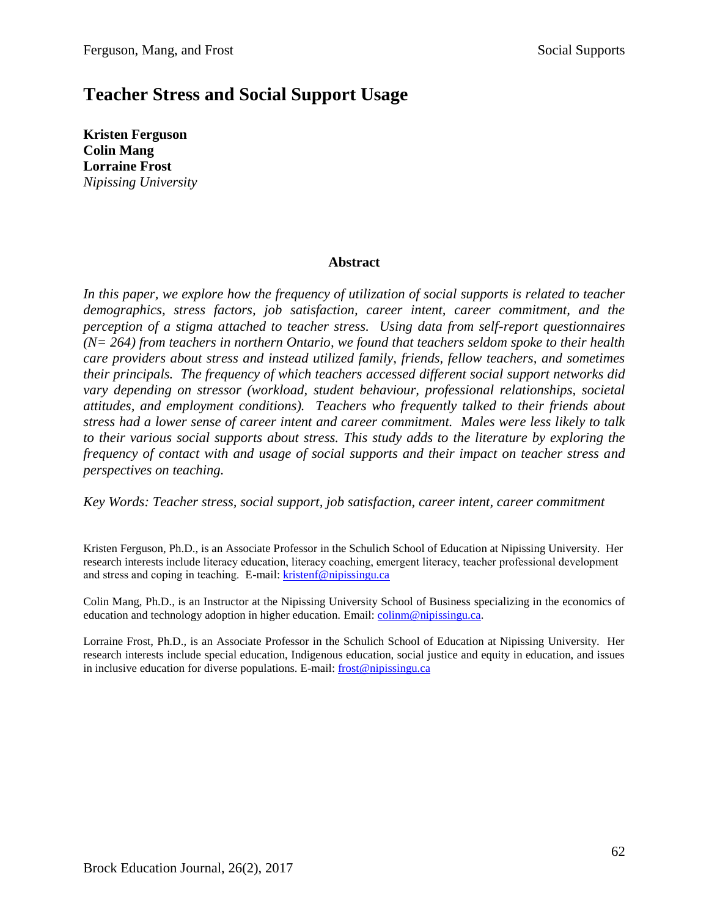# **Teacher Stress and Social Support Usage**

**Kristen Ferguson Colin Mang Lorraine Frost** *Nipissing University*

# **Abstract**

*In this paper, we explore how the frequency of utilization of social supports is related to teacher demographics, stress factors, job satisfaction, career intent, career commitment, and the perception of a stigma attached to teacher stress. Using data from self-report questionnaires (N= 264) from teachers in northern Ontario, we found that teachers seldom spoke to their health care providers about stress and instead utilized family, friends, fellow teachers, and sometimes their principals. The frequency of which teachers accessed different social support networks did vary depending on stressor (workload, student behaviour, professional relationships, societal attitudes, and employment conditions). Teachers who frequently talked to their friends about stress had a lower sense of career intent and career commitment. Males were less likely to talk to their various social supports about stress. This study adds to the literature by exploring the frequency of contact with and usage of social supports and their impact on teacher stress and perspectives on teaching.*

*Key Words: Teacher stress, social support, job satisfaction, career intent, career commitment*

Kristen Ferguson, Ph.D., is an Associate Professor in the Schulich School of Education at Nipissing University. Her research interests include literacy education, literacy coaching, emergent literacy, teacher professional development and stress and coping in teaching. E-mail: [kristenf@nipissingu.ca](mailto:kristenf@nipissingu.ca)

Colin Mang, Ph.D., is an Instructor at the Nipissing University School of Business specializing in the economics of education and technology adoption in higher education. Email: [colinm@nipissingu.ca.](mailto:colinm@nipissingu.ca)

Lorraine Frost, Ph.D., is an Associate Professor in the Schulich School of Education at Nipissing University. Her research interests include special education, Indigenous education, social justice and equity in education, and issues in inclusive education for diverse populations. E-mail: [frost@nipissingu.ca](mailto:frost@nipissingu.ca)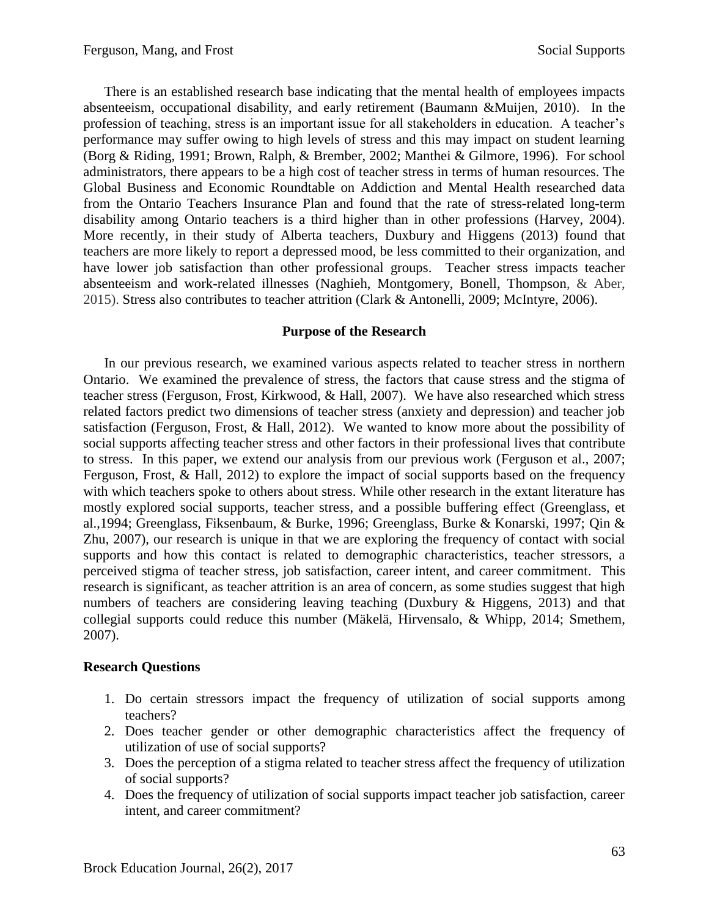There is an established research base indicating that the mental health of employees impacts absenteeism, occupational disability, and early retirement (Baumann &Muijen, 2010). In the profession of teaching, stress is an important issue for all stakeholders in education. A teacher's performance may suffer owing to high levels of stress and this may impact on student learning (Borg & Riding, 1991; Brown, Ralph, & Brember, 2002; Manthei & Gilmore, 1996). For school administrators, there appears to be a high cost of teacher stress in terms of human resources. The Global Business and Economic Roundtable on Addiction and Mental Health researched data from the Ontario Teachers Insurance Plan and found that the rate of stress-related long-term disability among Ontario teachers is a third higher than in other professions (Harvey, 2004). More recently, in their study of Alberta teachers, Duxbury and Higgens (2013) found that teachers are more likely to report a depressed mood, be less committed to their organization, and have lower job satisfaction than other professional groups. Teacher stress impacts teacher absenteeism and work-related illnesses (Naghieh, Montgomery, Bonell, Thompson, & Aber, 2015). Stress also contributes to teacher attrition (Clark & Antonelli, 2009; McIntyre, 2006).

# **Purpose of the Research**

In our previous research, we examined various aspects related to teacher stress in northern Ontario. We examined the prevalence of stress, the factors that cause stress and the stigma of teacher stress (Ferguson, Frost, Kirkwood, & Hall, 2007). We have also researched which stress related factors predict two dimensions of teacher stress (anxiety and depression) and teacher job satisfaction (Ferguson, Frost, & Hall, 2012). We wanted to know more about the possibility of social supports affecting teacher stress and other factors in their professional lives that contribute to stress. In this paper, we extend our analysis from our previous work (Ferguson et al., 2007; Ferguson, Frost, & Hall, 2012) to explore the impact of social supports based on the frequency with which teachers spoke to others about stress. While other research in the extant literature has mostly explored social supports, teacher stress, and a possible buffering effect (Greenglass, et al.,1994; Greenglass, Fiksenbaum, & Burke, 1996; Greenglass, Burke & Konarski, 1997; Qin & Zhu, 2007), our research is unique in that we are exploring the frequency of contact with social supports and how this contact is related to demographic characteristics, teacher stressors, a perceived stigma of teacher stress, job satisfaction, career intent, and career commitment. This research is significant, as teacher attrition is an area of concern, as some studies suggest that high numbers of teachers are considering leaving teaching (Duxbury  $\&$  Higgens, 2013) and that collegial supports could reduce this number (Mäkelä, Hirvensalo, & Whipp, 2014; Smethem, 2007).

# **Research Questions**

- 1. Do certain stressors impact the frequency of utilization of social supports among teachers?
- 2. Does teacher gender or other demographic characteristics affect the frequency of utilization of use of social supports?
- 3. Does the perception of a stigma related to teacher stress affect the frequency of utilization of social supports?
- 4. Does the frequency of utilization of social supports impact teacher job satisfaction, career intent, and career commitment?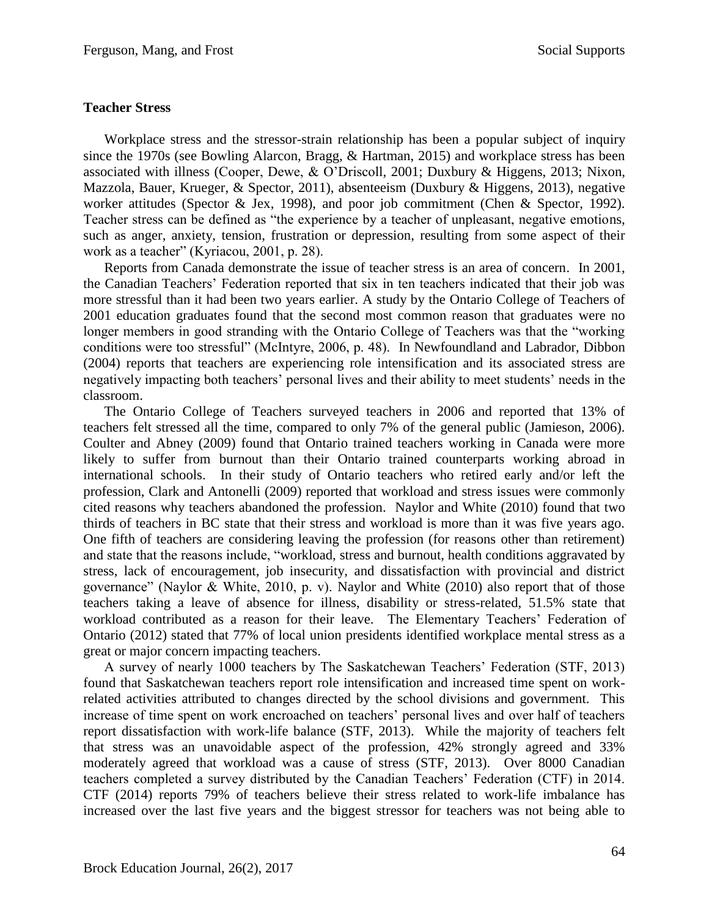# **Teacher Stress**

Workplace stress and the stressor-strain relationship has been a popular subject of inquiry since the 1970s (see Bowling Alarcon, Bragg, & Hartman, 2015) and workplace stress has been associated with illness (Cooper, Dewe, & O'Driscoll, 2001; Duxbury & Higgens, 2013; Nixon, Mazzola, Bauer, Krueger, & Spector, 2011), absenteeism (Duxbury & Higgens, 2013), negative worker attitudes (Spector & Jex, 1998), and poor job commitment (Chen & Spector, 1992). Teacher stress can be defined as "the experience by a teacher of unpleasant, negative emotions, such as anger, anxiety, tension, frustration or depression, resulting from some aspect of their work as a teacher" (Kyriacou, 2001, p. 28).

Reports from Canada demonstrate the issue of teacher stress is an area of concern. In 2001, the Canadian Teachers' Federation reported that six in ten teachers indicated that their job was more stressful than it had been two years earlier. A study by the Ontario College of Teachers of 2001 education graduates found that the second most common reason that graduates were no longer members in good stranding with the Ontario College of Teachers was that the "working conditions were too stressful" (McIntyre, 2006, p. 48). In Newfoundland and Labrador, Dibbon (2004) reports that teachers are experiencing role intensification and its associated stress are negatively impacting both teachers' personal lives and their ability to meet students' needs in the classroom.

The Ontario College of Teachers surveyed teachers in 2006 and reported that 13% of teachers felt stressed all the time, compared to only 7% of the general public (Jamieson, 2006). Coulter and Abney (2009) found that Ontario trained teachers working in Canada were more likely to suffer from burnout than their Ontario trained counterparts working abroad in international schools. In their study of Ontario teachers who retired early and/or left the profession, Clark and Antonelli (2009) reported that workload and stress issues were commonly cited reasons why teachers abandoned the profession. Naylor and White (2010) found that two thirds of teachers in BC state that their stress and workload is more than it was five years ago. One fifth of teachers are considering leaving the profession (for reasons other than retirement) and state that the reasons include, "workload, stress and burnout, health conditions aggravated by stress, lack of encouragement, job insecurity, and dissatisfaction with provincial and district governance" (Naylor & White, 2010, p. v). Naylor and White (2010) also report that of those teachers taking a leave of absence for illness, disability or stress-related, 51.5% state that workload contributed as a reason for their leave. The Elementary Teachers' Federation of Ontario (2012) stated that 77% of local union presidents identified workplace mental stress as a great or major concern impacting teachers.

A survey of nearly 1000 teachers by The Saskatchewan Teachers' Federation (STF, 2013) found that Saskatchewan teachers report role intensification and increased time spent on workrelated activities attributed to changes directed by the school divisions and government. This increase of time spent on work encroached on teachers' personal lives and over half of teachers report dissatisfaction with work-life balance (STF, 2013). While the majority of teachers felt that stress was an unavoidable aspect of the profession, 42% strongly agreed and 33% moderately agreed that workload was a cause of stress (STF, 2013). Over 8000 Canadian teachers completed a survey distributed by the Canadian Teachers' Federation (CTF) in 2014. CTF (2014) reports 79% of teachers believe their stress related to work-life imbalance has increased over the last five years and the biggest stressor for teachers was not being able to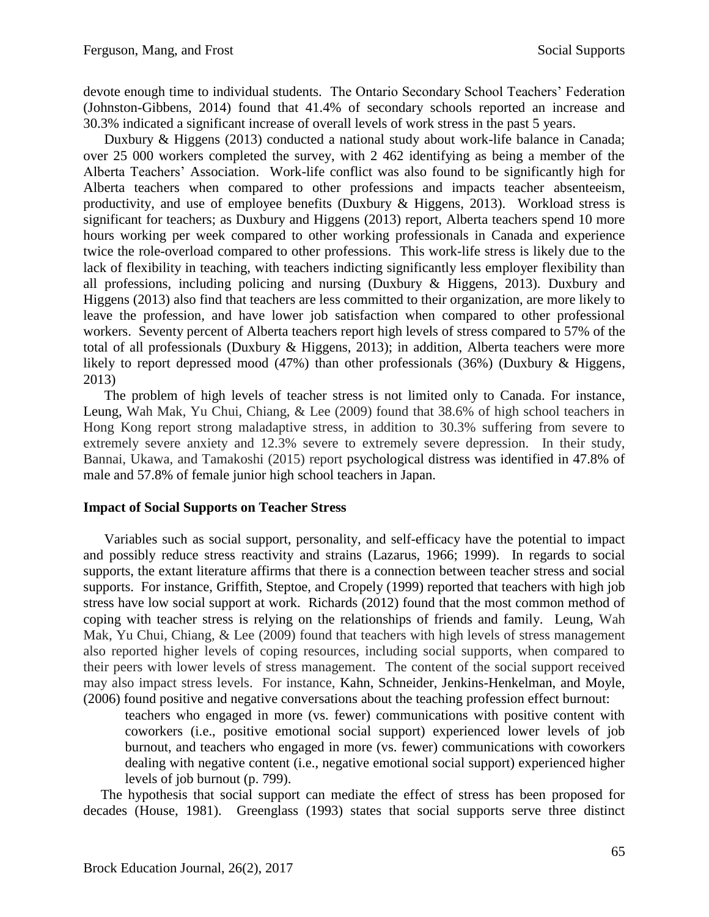devote enough time to individual students. The Ontario Secondary School Teachers' Federation (Johnston-Gibbens, 2014) found that 41.4% of secondary schools reported an increase and 30.3% indicated a significant increase of overall levels of work stress in the past 5 years.

Duxbury & Higgens (2013) conducted a national study about work-life balance in Canada; over 25 000 workers completed the survey, with 2 462 identifying as being a member of the Alberta Teachers' Association. Work-life conflict was also found to be significantly high for Alberta teachers when compared to other professions and impacts teacher absenteeism, productivity, and use of employee benefits (Duxbury & Higgens, 2013). Workload stress is significant for teachers; as Duxbury and Higgens (2013) report, Alberta teachers spend 10 more hours working per week compared to other working professionals in Canada and experience twice the role-overload compared to other professions. This work-life stress is likely due to the lack of flexibility in teaching, with teachers indicting significantly less employer flexibility than all professions, including policing and nursing (Duxbury & Higgens, 2013). Duxbury and Higgens (2013) also find that teachers are less committed to their organization, are more likely to leave the profession, and have lower job satisfaction when compared to other professional workers. Seventy percent of Alberta teachers report high levels of stress compared to 57% of the total of all professionals (Duxbury & Higgens, 2013); in addition, Alberta teachers were more likely to report depressed mood (47%) than other professionals (36%) (Duxbury & Higgens, 2013)

The problem of high levels of teacher stress is not limited only to Canada. For instance, Leung, Wah Mak, Yu Chui, Chiang, & Lee (2009) found that 38.6% of high school teachers in Hong Kong report strong maladaptive stress, in addition to 30.3% suffering from severe to extremely severe anxiety and 12.3% severe to extremely severe depression. In their study, Bannai, Ukawa, and Tamakoshi (2015) report psychological distress was identified in 47.8% of male and 57.8% of female junior high school teachers in Japan.

# **Impact of Social Supports on Teacher Stress**

Variables such as social support, personality, and self-efficacy have the potential to impact and possibly reduce stress reactivity and strains (Lazarus, 1966; 1999). In regards to social supports, the extant literature affirms that there is a connection between teacher stress and social supports. For instance, Griffith, Steptoe, and Cropely (1999) reported that teachers with high job stress have low social support at work. Richards (2012) found that the most common method of coping with teacher stress is relying on the relationships of friends and family. Leung, Wah Mak, Yu Chui, Chiang, & Lee (2009) found that teachers with high levels of stress management also reported higher levels of coping resources, including social supports, when compared to their peers with lower levels of stress management. The content of the social support received may also impact stress levels. For instance, Kahn, Schneider, Jenkins-Henkelman, and Moyle, (2006) found positive and negative conversations about the teaching profession effect burnout:

teachers who engaged in more (vs. fewer) communications with positive content with coworkers (i.e., positive emotional social support) experienced lower levels of job burnout, and teachers who engaged in more (vs. fewer) communications with coworkers dealing with negative content (i.e., negative emotional social support) experienced higher levels of job burnout (p. 799).

 The hypothesis that social support can mediate the effect of stress has been proposed for decades (House, 1981). Greenglass (1993) states that social supports serve three distinct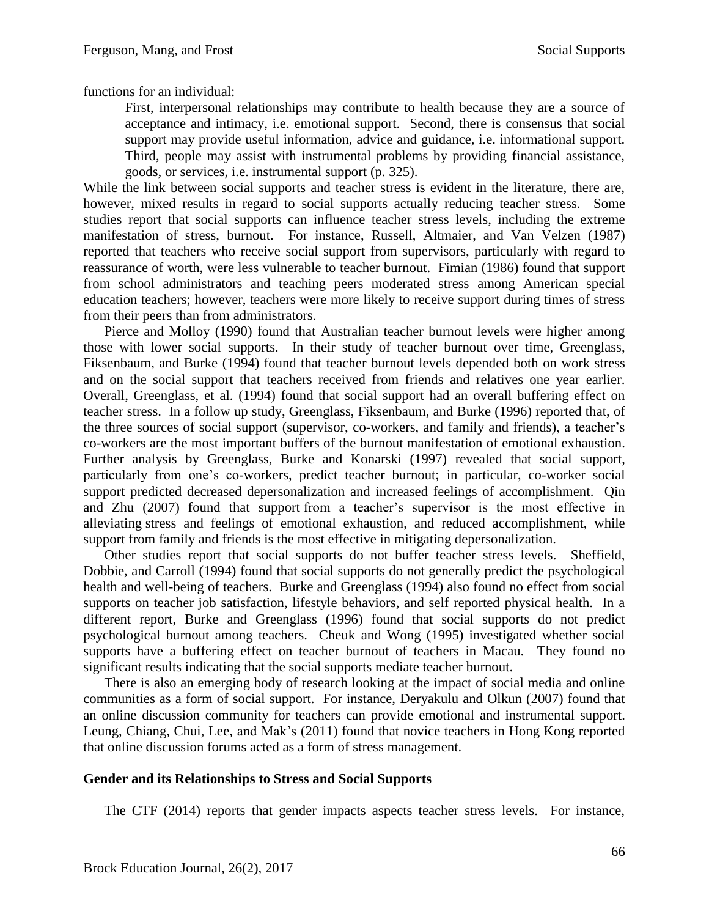functions for an individual:

First, interpersonal relationships may contribute to health because they are a source of acceptance and intimacy, i.e. emotional support. Second, there is consensus that social support may provide useful information, advice and guidance, i.e. informational support. Third, people may assist with instrumental problems by providing financial assistance, goods, or services, i.e. instrumental support (p. 325).

While the link between social supports and teacher stress is evident in the literature, there are, however, mixed results in regard to social supports actually reducing teacher stress. Some studies report that social supports can influence teacher stress levels, including the extreme manifestation of stress, burnout. For instance, Russell, Altmaier, and Van Velzen (1987) reported that teachers who receive social support from supervisors, particularly with regard to reassurance of worth, were less vulnerable to teacher burnout. Fimian (1986) found that support from school administrators and teaching peers moderated stress among American special education teachers; however, teachers were more likely to receive support during times of stress from their peers than from administrators.

Pierce and Molloy (1990) found that Australian teacher burnout levels were higher among those with lower social supports. In their study of teacher burnout over time, Greenglass, Fiksenbaum, and Burke (1994) found that teacher burnout levels depended both on work stress and on the social support that teachers received from friends and relatives one year earlier. Overall, Greenglass, et al. (1994) found that social support had an overall buffering effect on teacher stress. In a follow up study, Greenglass, Fiksenbaum, and Burke (1996) reported that, of the three sources of social support (supervisor, co-workers, and family and friends), a teacher's co-workers are the most important buffers of the burnout manifestation of emotional exhaustion. Further analysis by Greenglass, Burke and Konarski (1997) revealed that social support, particularly from one's co-workers, predict teacher burnout; in particular, co-worker social support predicted decreased depersonalization and increased feelings of accomplishment. Qin and Zhu (2007) found that support from a teacher's supervisor is the most effective in alleviating stress and feelings of emotional exhaustion, and reduced accomplishment, while support from family and friends is the most effective in mitigating depersonalization.

Other studies report that social supports do not buffer teacher stress levels. Sheffield, Dobbie, and Carroll (1994) found that social supports do not generally predict the psychological health and well-being of teachers. Burke and Greenglass (1994) also found no effect from social supports on teacher job satisfaction, lifestyle behaviors, and self reported physical health. In a different report, Burke and Greenglass (1996) found that social supports do not predict psychological burnout among teachers. Cheuk and Wong (1995) investigated whether social supports have a buffering effect on teacher burnout of teachers in Macau. They found no significant results indicating that the social supports mediate teacher burnout.

There is also an emerging body of research looking at the impact of social media and online communities as a form of social support. For instance, Deryakulu and Olkun (2007) found that an online discussion community for teachers can provide emotional and instrumental support. Leung, Chiang, Chui, Lee, and Mak's (2011) found that novice teachers in Hong Kong reported that online discussion forums acted as a form of stress management.

# **Gender and its Relationships to Stress and Social Supports**

The CTF (2014) reports that gender impacts aspects teacher stress levels. For instance,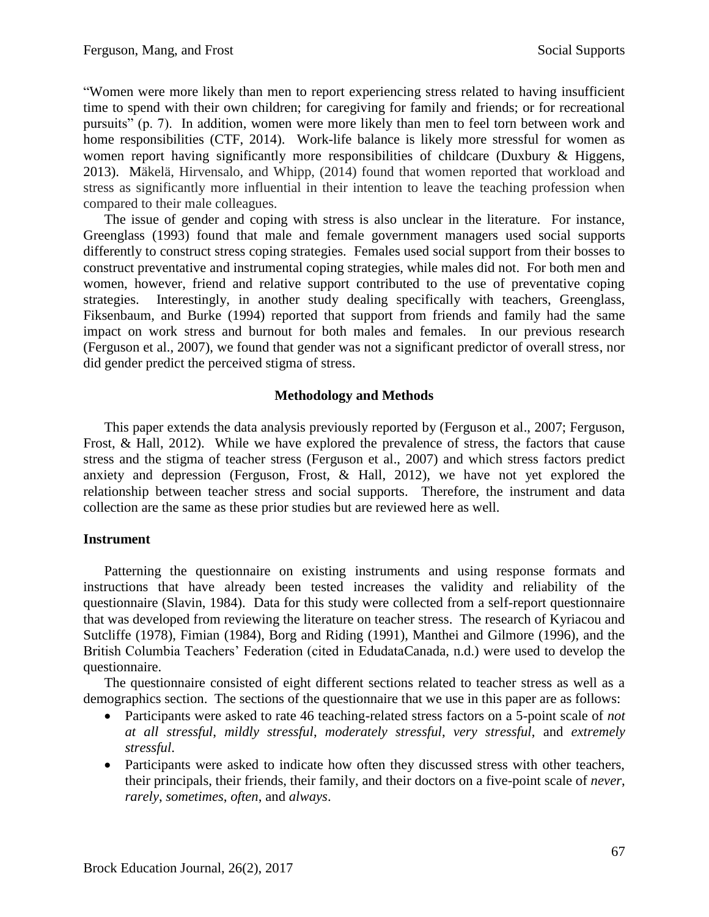"Women were more likely than men to report experiencing stress related to having insufficient time to spend with their own children; for caregiving for family and friends; or for recreational pursuits" (p. 7). In addition, women were more likely than men to feel torn between work and home responsibilities (CTF, 2014). Work-life balance is likely more stressful for women as women report having significantly more responsibilities of childcare (Duxbury & Higgens, 2013). Mäkelä, Hirvensalo, and Whipp, (2014) found that women reported that workload and stress as significantly more influential in their intention to leave the teaching profession when compared to their male colleagues.

The issue of gender and coping with stress is also unclear in the literature. For instance, Greenglass (1993) found that male and female government managers used social supports differently to construct stress coping strategies. Females used social support from their bosses to construct preventative and instrumental coping strategies, while males did not. For both men and women, however, friend and relative support contributed to the use of preventative coping strategies. Interestingly, in another study dealing specifically with teachers, Greenglass, Fiksenbaum, and Burke (1994) reported that support from friends and family had the same impact on work stress and burnout for both males and females. In our previous research (Ferguson et al., 2007), we found that gender was not a significant predictor of overall stress, nor did gender predict the perceived stigma of stress.

# **Methodology and Methods**

This paper extends the data analysis previously reported by (Ferguson et al., 2007; Ferguson, Frost, & Hall, 2012). While we have explored the prevalence of stress, the factors that cause stress and the stigma of teacher stress (Ferguson et al., 2007) and which stress factors predict anxiety and depression (Ferguson, Frost, & Hall, 2012), we have not yet explored the relationship between teacher stress and social supports. Therefore, the instrument and data collection are the same as these prior studies but are reviewed here as well.

# **Instrument**

Patterning the questionnaire on existing instruments and using response formats and instructions that have already been tested increases the validity and reliability of the questionnaire (Slavin, 1984). Data for this study were collected from a self-report questionnaire that was developed from reviewing the literature on teacher stress. The research of Kyriacou and Sutcliffe (1978), Fimian (1984), Borg and Riding (1991), Manthei and Gilmore (1996), and the British Columbia Teachers' Federation (cited in EdudataCanada, n.d.) were used to develop the questionnaire.

The questionnaire consisted of eight different sections related to teacher stress as well as a demographics section. The sections of the questionnaire that we use in this paper are as follows:

- Participants were asked to rate 46 teaching-related stress factors on a 5-point scale of *not at all stressful*, *mildly stressful*, *moderately stressful*, *very stressful*, and *extremely stressful*.
- Participants were asked to indicate how often they discussed stress with other teachers, their principals, their friends, their family, and their doctors on a five-point scale of *never*, *rarely*, *sometimes*, *often*, and *always*.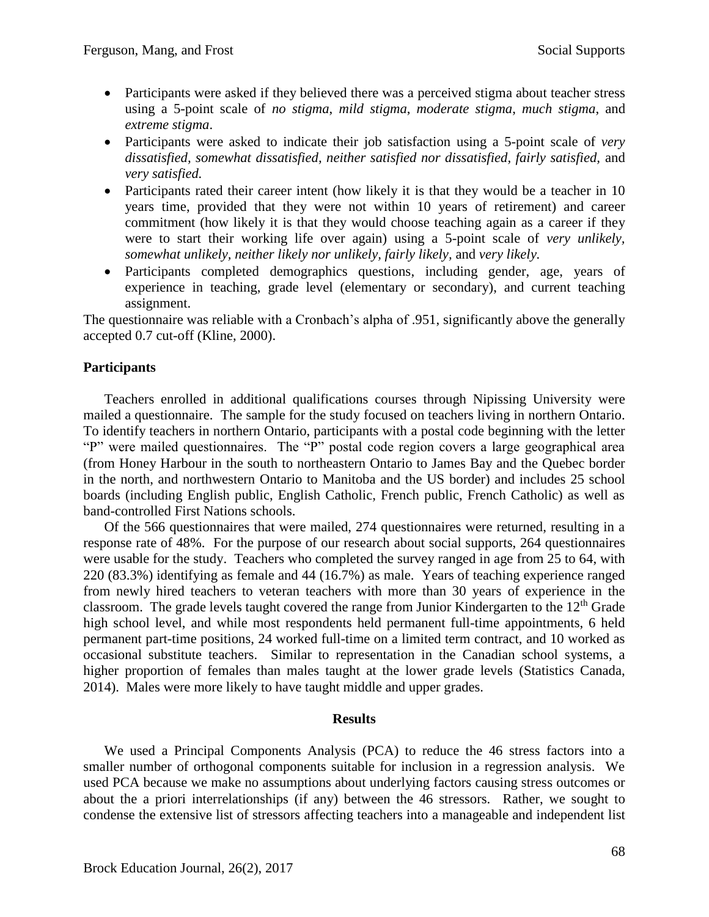- Participants were asked if they believed there was a perceived stigma about teacher stress using a 5-point scale of *no stigma*, *mild stigma*, *moderate stigma*, *much stigma*, and *extreme stigma*.
- Participants were asked to indicate their job satisfaction using a 5-point scale of *very dissatisfied, somewhat dissatisfied, neither satisfied nor dissatisfied, fairly satisfied,* and *very satisfied.*
- Participants rated their career intent (how likely it is that they would be a teacher in 10 years time, provided that they were not within 10 years of retirement) and career commitment (how likely it is that they would choose teaching again as a career if they were to start their working life over again) using a 5-point scale of *very unlikely, somewhat unlikely, neither likely nor unlikely, fairly likely,* and *very likely.*
- Participants completed demographics questions, including gender, age, years of experience in teaching, grade level (elementary or secondary), and current teaching assignment.

The questionnaire was reliable with a Cronbach's alpha of .951, significantly above the generally accepted 0.7 cut-off (Kline, 2000).

# **Participants**

Teachers enrolled in additional qualifications courses through Nipissing University were mailed a questionnaire. The sample for the study focused on teachers living in northern Ontario. To identify teachers in northern Ontario, participants with a postal code beginning with the letter "P" were mailed questionnaires. The "P" postal code region covers a large geographical area (from Honey Harbour in the south to northeastern Ontario to James Bay and the Quebec border in the north, and northwestern Ontario to Manitoba and the US border) and includes 25 school boards (including English public, English Catholic, French public, French Catholic) as well as band-controlled First Nations schools.

Of the 566 questionnaires that were mailed, 274 questionnaires were returned, resulting in a response rate of 48%. For the purpose of our research about social supports, 264 questionnaires were usable for the study. Teachers who completed the survey ranged in age from 25 to 64, with 220 (83.3%) identifying as female and 44 (16.7%) as male. Years of teaching experience ranged from newly hired teachers to veteran teachers with more than 30 years of experience in the classroom. The grade levels taught covered the range from Junior Kindergarten to the  $12<sup>th</sup>$  Grade high school level, and while most respondents held permanent full-time appointments, 6 held permanent part-time positions, 24 worked full-time on a limited term contract, and 10 worked as occasional substitute teachers. Similar to representation in the Canadian school systems, a higher proportion of females than males taught at the lower grade levels (Statistics Canada, 2014). Males were more likely to have taught middle and upper grades.

# **Results**

We used a Principal Components Analysis (PCA) to reduce the 46 stress factors into a smaller number of orthogonal components suitable for inclusion in a regression analysis. We used PCA because we make no assumptions about underlying factors causing stress outcomes or about the a priori interrelationships (if any) between the 46 stressors. Rather, we sought to condense the extensive list of stressors affecting teachers into a manageable and independent list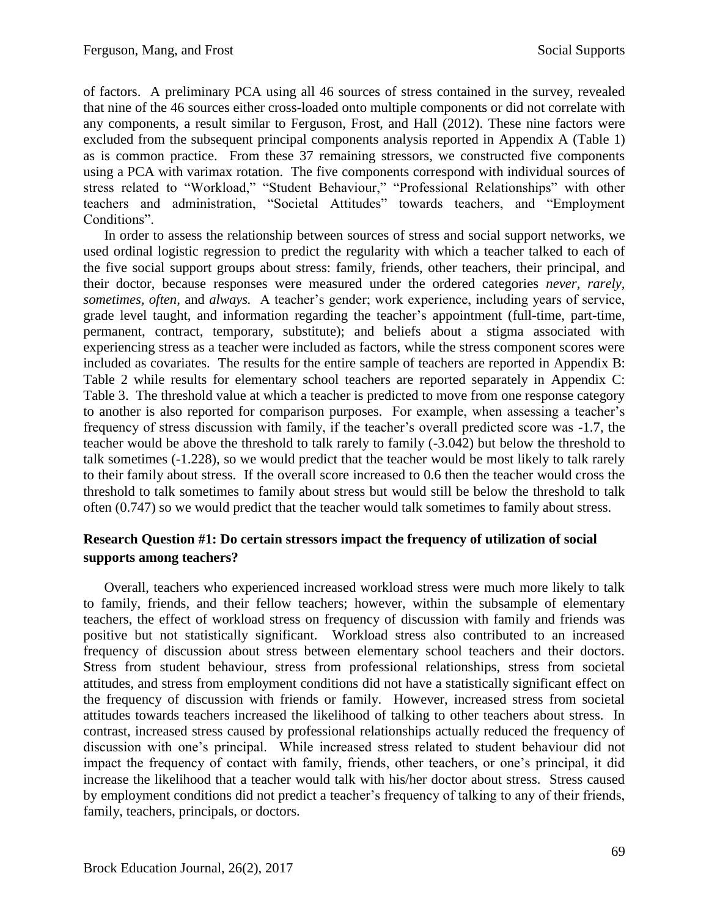of factors. A preliminary PCA using all 46 sources of stress contained in the survey, revealed that nine of the 46 sources either cross-loaded onto multiple components or did not correlate with any components, a result similar to Ferguson, Frost, and Hall (2012). These nine factors were excluded from the subsequent principal components analysis reported in Appendix A (Table 1) as is common practice. From these 37 remaining stressors, we constructed five components using a PCA with varimax rotation. The five components correspond with individual sources of stress related to "Workload," "Student Behaviour," "Professional Relationships" with other teachers and administration, "Societal Attitudes" towards teachers, and "Employment Conditions".

In order to assess the relationship between sources of stress and social support networks, we used ordinal logistic regression to predict the regularity with which a teacher talked to each of the five social support groups about stress: family, friends, other teachers, their principal, and their doctor, because responses were measured under the ordered categories *never, rarely, sometimes, often,* and *always.* A teacher's gender; work experience, including years of service, grade level taught, and information regarding the teacher's appointment (full-time, part-time, permanent, contract, temporary, substitute); and beliefs about a stigma associated with experiencing stress as a teacher were included as factors, while the stress component scores were included as covariates. The results for the entire sample of teachers are reported in Appendix B: Table 2 while results for elementary school teachers are reported separately in Appendix C: Table 3. The threshold value at which a teacher is predicted to move from one response category to another is also reported for comparison purposes. For example, when assessing a teacher's frequency of stress discussion with family, if the teacher's overall predicted score was -1.7, the teacher would be above the threshold to talk rarely to family (-3.042) but below the threshold to talk sometimes (-1.228), so we would predict that the teacher would be most likely to talk rarely to their family about stress. If the overall score increased to 0.6 then the teacher would cross the threshold to talk sometimes to family about stress but would still be below the threshold to talk often (0.747) so we would predict that the teacher would talk sometimes to family about stress.

# **Research Question #1: Do certain stressors impact the frequency of utilization of social supports among teachers?**

Overall, teachers who experienced increased workload stress were much more likely to talk to family, friends, and their fellow teachers; however, within the subsample of elementary teachers, the effect of workload stress on frequency of discussion with family and friends was positive but not statistically significant. Workload stress also contributed to an increased frequency of discussion about stress between elementary school teachers and their doctors. Stress from student behaviour, stress from professional relationships, stress from societal attitudes, and stress from employment conditions did not have a statistically significant effect on the frequency of discussion with friends or family. However, increased stress from societal attitudes towards teachers increased the likelihood of talking to other teachers about stress. In contrast, increased stress caused by professional relationships actually reduced the frequency of discussion with one's principal. While increased stress related to student behaviour did not impact the frequency of contact with family, friends, other teachers, or one's principal, it did increase the likelihood that a teacher would talk with his/her doctor about stress. Stress caused by employment conditions did not predict a teacher's frequency of talking to any of their friends, family, teachers, principals, or doctors.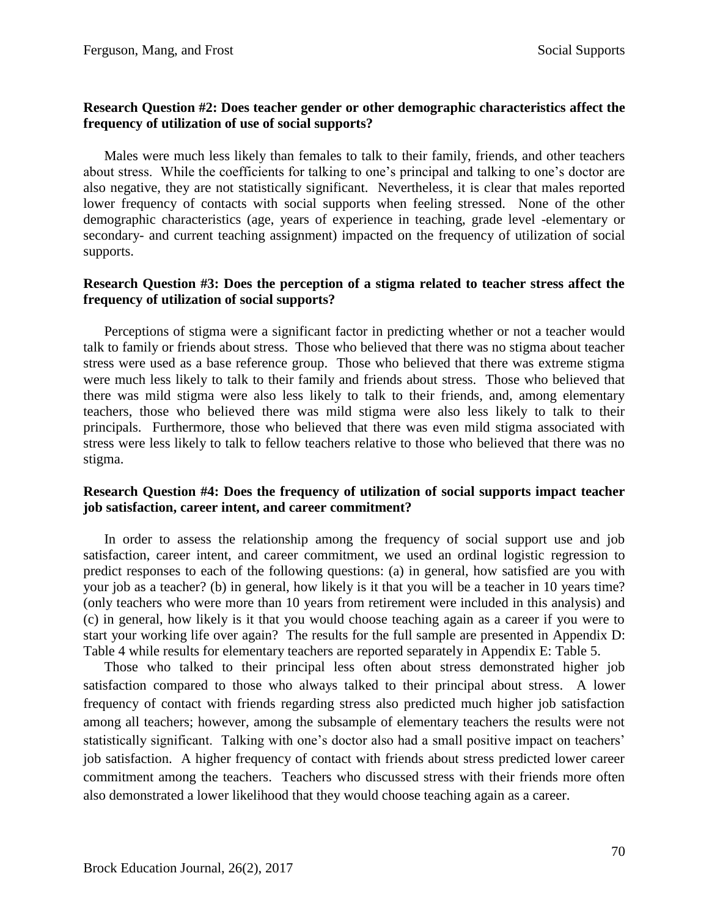# **Research Question #2: Does teacher gender or other demographic characteristics affect the frequency of utilization of use of social supports?**

Males were much less likely than females to talk to their family, friends, and other teachers about stress. While the coefficients for talking to one's principal and talking to one's doctor are also negative, they are not statistically significant. Nevertheless, it is clear that males reported lower frequency of contacts with social supports when feeling stressed. None of the other demographic characteristics (age, years of experience in teaching, grade level -elementary or secondary- and current teaching assignment) impacted on the frequency of utilization of social supports.

# **Research Question #3: Does the perception of a stigma related to teacher stress affect the frequency of utilization of social supports?**

Perceptions of stigma were a significant factor in predicting whether or not a teacher would talk to family or friends about stress. Those who believed that there was no stigma about teacher stress were used as a base reference group. Those who believed that there was extreme stigma were much less likely to talk to their family and friends about stress. Those who believed that there was mild stigma were also less likely to talk to their friends, and, among elementary teachers, those who believed there was mild stigma were also less likely to talk to their principals. Furthermore, those who believed that there was even mild stigma associated with stress were less likely to talk to fellow teachers relative to those who believed that there was no stigma.

# **Research Question #4: Does the frequency of utilization of social supports impact teacher job satisfaction, career intent, and career commitment?**

In order to assess the relationship among the frequency of social support use and job satisfaction, career intent, and career commitment, we used an ordinal logistic regression to predict responses to each of the following questions: (a) in general, how satisfied are you with your job as a teacher? (b) in general, how likely is it that you will be a teacher in 10 years time? (only teachers who were more than 10 years from retirement were included in this analysis) and (c) in general, how likely is it that you would choose teaching again as a career if you were to start your working life over again? The results for the full sample are presented in Appendix D: Table 4 while results for elementary teachers are reported separately in Appendix E: Table 5.

Those who talked to their principal less often about stress demonstrated higher job satisfaction compared to those who always talked to their principal about stress. A lower frequency of contact with friends regarding stress also predicted much higher job satisfaction among all teachers; however, among the subsample of elementary teachers the results were not statistically significant. Talking with one's doctor also had a small positive impact on teachers' job satisfaction. A higher frequency of contact with friends about stress predicted lower career commitment among the teachers. Teachers who discussed stress with their friends more often also demonstrated a lower likelihood that they would choose teaching again as a career.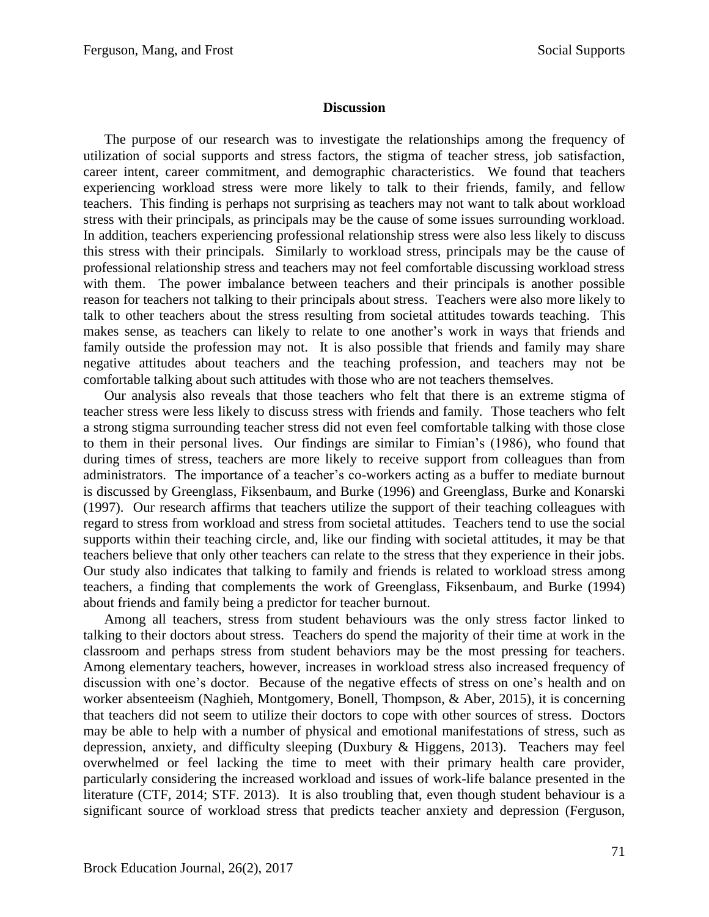#### **Discussion**

The purpose of our research was to investigate the relationships among the frequency of utilization of social supports and stress factors, the stigma of teacher stress, job satisfaction, career intent, career commitment, and demographic characteristics. We found that teachers experiencing workload stress were more likely to talk to their friends, family, and fellow teachers. This finding is perhaps not surprising as teachers may not want to talk about workload stress with their principals, as principals may be the cause of some issues surrounding workload. In addition, teachers experiencing professional relationship stress were also less likely to discuss this stress with their principals. Similarly to workload stress, principals may be the cause of professional relationship stress and teachers may not feel comfortable discussing workload stress with them. The power imbalance between teachers and their principals is another possible reason for teachers not talking to their principals about stress. Teachers were also more likely to talk to other teachers about the stress resulting from societal attitudes towards teaching. This makes sense, as teachers can likely to relate to one another's work in ways that friends and family outside the profession may not. It is also possible that friends and family may share negative attitudes about teachers and the teaching profession, and teachers may not be comfortable talking about such attitudes with those who are not teachers themselves.

Our analysis also reveals that those teachers who felt that there is an extreme stigma of teacher stress were less likely to discuss stress with friends and family. Those teachers who felt a strong stigma surrounding teacher stress did not even feel comfortable talking with those close to them in their personal lives. Our findings are similar to Fimian's (1986), who found that during times of stress, teachers are more likely to receive support from colleagues than from administrators. The importance of a teacher's co-workers acting as a buffer to mediate burnout is discussed by Greenglass, Fiksenbaum, and Burke (1996) and Greenglass, Burke and Konarski (1997). Our research affirms that teachers utilize the support of their teaching colleagues with regard to stress from workload and stress from societal attitudes. Teachers tend to use the social supports within their teaching circle, and, like our finding with societal attitudes, it may be that teachers believe that only other teachers can relate to the stress that they experience in their jobs. Our study also indicates that talking to family and friends is related to workload stress among teachers, a finding that complements the work of Greenglass, Fiksenbaum, and Burke (1994) about friends and family being a predictor for teacher burnout.

Among all teachers, stress from student behaviours was the only stress factor linked to talking to their doctors about stress. Teachers do spend the majority of their time at work in the classroom and perhaps stress from student behaviors may be the most pressing for teachers. Among elementary teachers, however, increases in workload stress also increased frequency of discussion with one's doctor. Because of the negative effects of stress on one's health and on worker absenteeism (Naghieh, Montgomery, Bonell, Thompson, & Aber, 2015), it is concerning that teachers did not seem to utilize their doctors to cope with other sources of stress. Doctors may be able to help with a number of physical and emotional manifestations of stress, such as depression, anxiety, and difficulty sleeping (Duxbury & Higgens, 2013). Teachers may feel overwhelmed or feel lacking the time to meet with their primary health care provider, particularly considering the increased workload and issues of work-life balance presented in the literature (CTF, 2014; STF. 2013). It is also troubling that, even though student behaviour is a significant source of workload stress that predicts teacher anxiety and depression (Ferguson,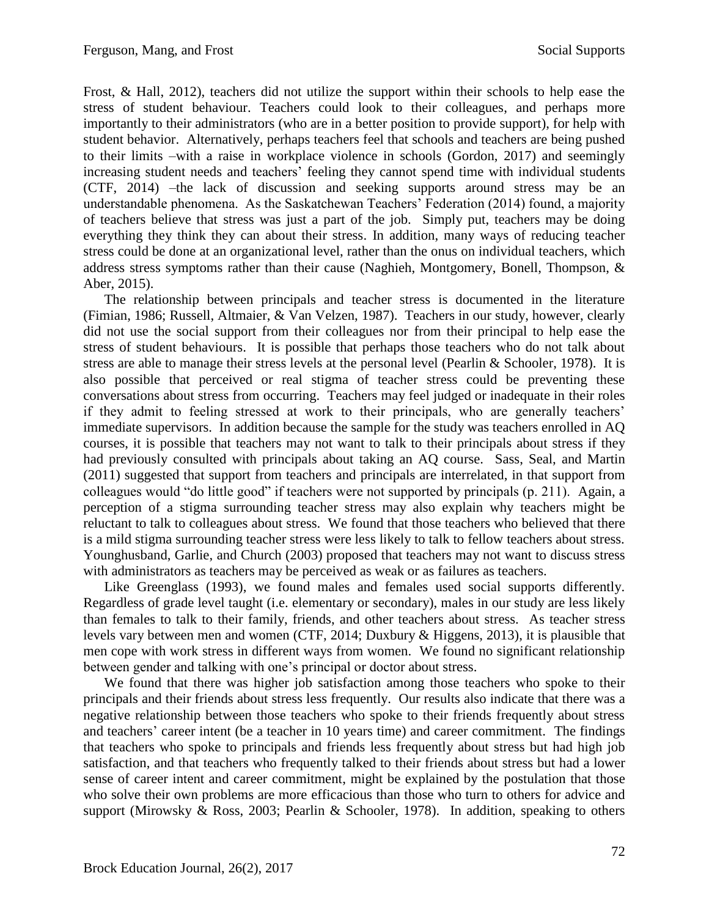Frost, & Hall, 2012), teachers did not utilize the support within their schools to help ease the stress of student behaviour. Teachers could look to their colleagues, and perhaps more importantly to their administrators (who are in a better position to provide support), for help with student behavior. Alternatively, perhaps teachers feel that schools and teachers are being pushed to their limits –with a raise in workplace violence in schools (Gordon, 2017) and seemingly increasing student needs and teachers' feeling they cannot spend time with individual students (CTF, 2014) –the lack of discussion and seeking supports around stress may be an understandable phenomena. As the Saskatchewan Teachers' Federation (2014) found, a majority of teachers believe that stress was just a part of the job. Simply put, teachers may be doing everything they think they can about their stress. In addition, many ways of reducing teacher stress could be done at an organizational level, rather than the onus on individual teachers, which address stress symptoms rather than their cause (Naghieh, Montgomery, Bonell, Thompson, & Aber, 2015).

The relationship between principals and teacher stress is documented in the literature (Fimian, 1986; Russell, Altmaier, & Van Velzen, 1987). Teachers in our study, however, clearly did not use the social support from their colleagues nor from their principal to help ease the stress of student behaviours. It is possible that perhaps those teachers who do not talk about stress are able to manage their stress levels at the personal level (Pearlin & Schooler, 1978). It is also possible that perceived or real stigma of teacher stress could be preventing these conversations about stress from occurring. Teachers may feel judged or inadequate in their roles if they admit to feeling stressed at work to their principals, who are generally teachers' immediate supervisors. In addition because the sample for the study was teachers enrolled in AQ courses, it is possible that teachers may not want to talk to their principals about stress if they had previously consulted with principals about taking an AQ course. Sass, Seal, and Martin (2011) suggested that support from teachers and principals are interrelated, in that support from colleagues would "do little good" if teachers were not supported by principals (p. 211). Again, a perception of a stigma surrounding teacher stress may also explain why teachers might be reluctant to talk to colleagues about stress. We found that those teachers who believed that there is a mild stigma surrounding teacher stress were less likely to talk to fellow teachers about stress. Younghusband, Garlie, and Church (2003) proposed that teachers may not want to discuss stress with administrators as teachers may be perceived as weak or as failures as teachers.

Like Greenglass (1993), we found males and females used social supports differently. Regardless of grade level taught (i.e. elementary or secondary), males in our study are less likely than females to talk to their family, friends, and other teachers about stress. As teacher stress levels vary between men and women (CTF, 2014; Duxbury & Higgens, 2013), it is plausible that men cope with work stress in different ways from women. We found no significant relationship between gender and talking with one's principal or doctor about stress.

We found that there was higher job satisfaction among those teachers who spoke to their principals and their friends about stress less frequently. Our results also indicate that there was a negative relationship between those teachers who spoke to their friends frequently about stress and teachers' career intent (be a teacher in 10 years time) and career commitment. The findings that teachers who spoke to principals and friends less frequently about stress but had high job satisfaction, and that teachers who frequently talked to their friends about stress but had a lower sense of career intent and career commitment, might be explained by the postulation that those who solve their own problems are more efficacious than those who turn to others for advice and support (Mirowsky & Ross, 2003; Pearlin & Schooler, 1978). In addition, speaking to others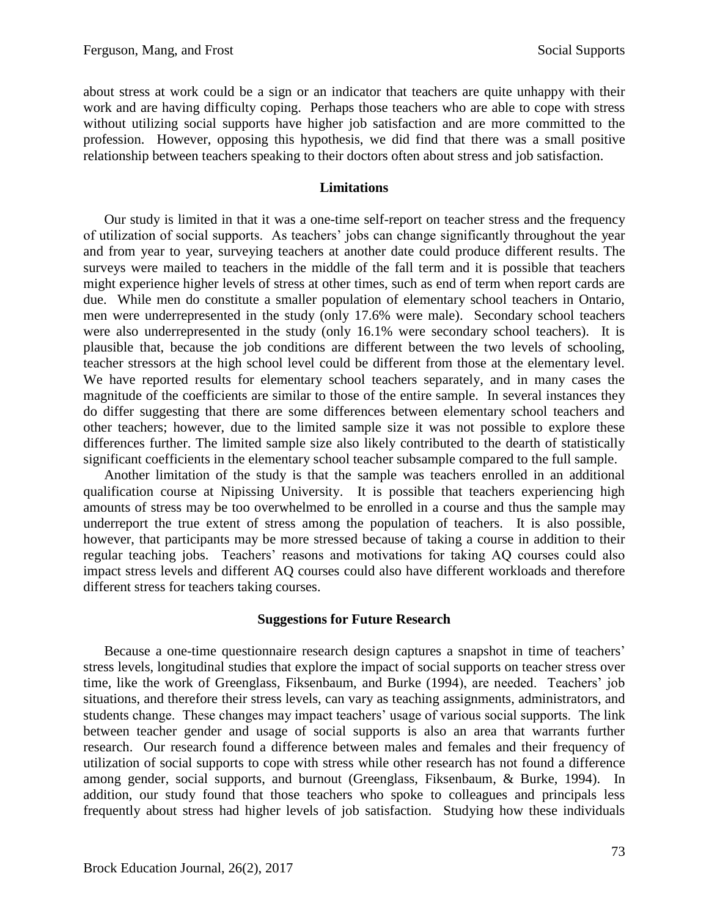about stress at work could be a sign or an indicator that teachers are quite unhappy with their work and are having difficulty coping. Perhaps those teachers who are able to cope with stress without utilizing social supports have higher job satisfaction and are more committed to the profession. However, opposing this hypothesis, we did find that there was a small positive relationship between teachers speaking to their doctors often about stress and job satisfaction.

#### **Limitations**

Our study is limited in that it was a one-time self-report on teacher stress and the frequency of utilization of social supports. As teachers' jobs can change significantly throughout the year and from year to year, surveying teachers at another date could produce different results. The surveys were mailed to teachers in the middle of the fall term and it is possible that teachers might experience higher levels of stress at other times, such as end of term when report cards are due. While men do constitute a smaller population of elementary school teachers in Ontario, men were underrepresented in the study (only 17.6% were male). Secondary school teachers were also underrepresented in the study (only 16.1% were secondary school teachers). It is plausible that, because the job conditions are different between the two levels of schooling, teacher stressors at the high school level could be different from those at the elementary level. We have reported results for elementary school teachers separately, and in many cases the magnitude of the coefficients are similar to those of the entire sample. In several instances they do differ suggesting that there are some differences between elementary school teachers and other teachers; however, due to the limited sample size it was not possible to explore these differences further. The limited sample size also likely contributed to the dearth of statistically significant coefficients in the elementary school teacher subsample compared to the full sample.

Another limitation of the study is that the sample was teachers enrolled in an additional qualification course at Nipissing University. It is possible that teachers experiencing high amounts of stress may be too overwhelmed to be enrolled in a course and thus the sample may underreport the true extent of stress among the population of teachers. It is also possible, however, that participants may be more stressed because of taking a course in addition to their regular teaching jobs. Teachers' reasons and motivations for taking AQ courses could also impact stress levels and different AQ courses could also have different workloads and therefore different stress for teachers taking courses.

#### **Suggestions for Future Research**

Because a one-time questionnaire research design captures a snapshot in time of teachers' stress levels, longitudinal studies that explore the impact of social supports on teacher stress over time, like the work of Greenglass, Fiksenbaum, and Burke (1994), are needed. Teachers' job situations, and therefore their stress levels, can vary as teaching assignments, administrators, and students change. These changes may impact teachers' usage of various social supports. The link between teacher gender and usage of social supports is also an area that warrants further research. Our research found a difference between males and females and their frequency of utilization of social supports to cope with stress while other research has not found a difference among gender, social supports, and burnout (Greenglass, Fiksenbaum, & Burke, 1994). In addition, our study found that those teachers who spoke to colleagues and principals less frequently about stress had higher levels of job satisfaction. Studying how these individuals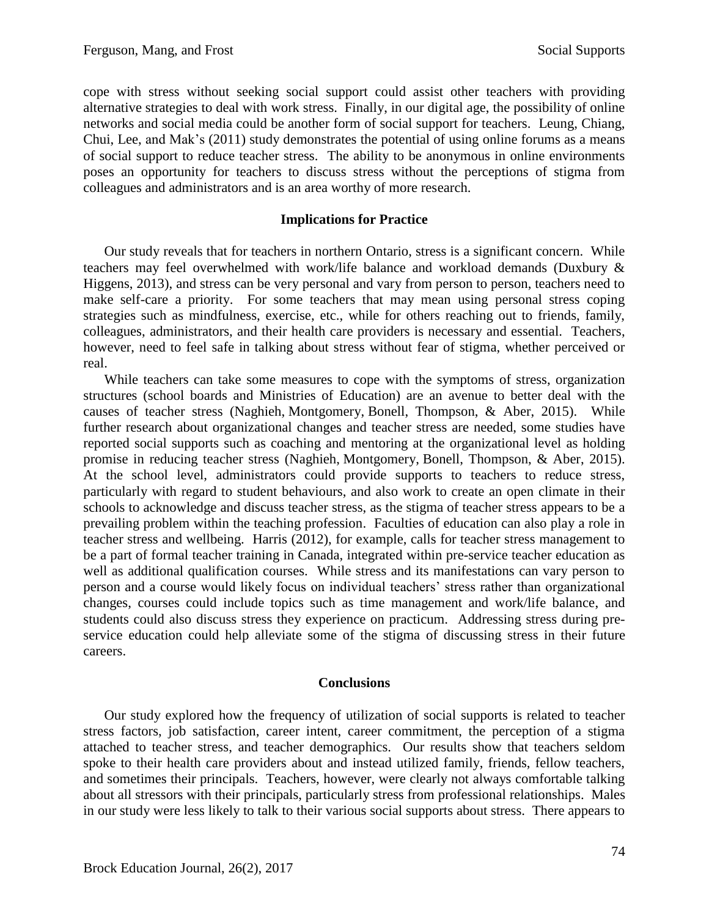cope with stress without seeking social support could assist other teachers with providing alternative strategies to deal with work stress. Finally, in our digital age, the possibility of online networks and social media could be another form of social support for teachers. Leung, Chiang, Chui, Lee, and Mak's (2011) study demonstrates the potential of using online forums as a means of social support to reduce teacher stress. The ability to be anonymous in online environments poses an opportunity for teachers to discuss stress without the perceptions of stigma from colleagues and administrators and is an area worthy of more research.

# **Implications for Practice**

Our study reveals that for teachers in northern Ontario, stress is a significant concern. While teachers may feel overwhelmed with work/life balance and workload demands (Duxbury & Higgens, 2013), and stress can be very personal and vary from person to person, teachers need to make self-care a priority. For some teachers that may mean using personal stress coping strategies such as mindfulness, exercise, etc., while for others reaching out to friends, family, colleagues, administrators, and their health care providers is necessary and essential. Teachers, however, need to feel safe in talking about stress without fear of stigma, whether perceived or real.

While teachers can take some measures to cope with the symptoms of stress, organization structures (school boards and Ministries of Education) are an avenue to better deal with the causes of teacher stress (Naghieh, Montgomery, Bonell, Thompson, & Aber, 2015). While further research about organizational changes and teacher stress are needed, some studies have reported social supports such as coaching and mentoring at the organizational level as holding promise in reducing teacher stress (Naghieh, Montgomery, Bonell, Thompson, & Aber, 2015). At the school level, administrators could provide supports to teachers to reduce stress, particularly with regard to student behaviours, and also work to create an open climate in their schools to acknowledge and discuss teacher stress, as the stigma of teacher stress appears to be a prevailing problem within the teaching profession. Faculties of education can also play a role in teacher stress and wellbeing. Harris (2012), for example, calls for teacher stress management to be a part of formal teacher training in Canada, integrated within pre-service teacher education as well as additional qualification courses. While stress and its manifestations can vary person to person and a course would likely focus on individual teachers' stress rather than organizational changes, courses could include topics such as time management and work/life balance, and students could also discuss stress they experience on practicum. Addressing stress during preservice education could help alleviate some of the stigma of discussing stress in their future careers.

### **Conclusions**

Our study explored how the frequency of utilization of social supports is related to teacher stress factors, job satisfaction, career intent, career commitment, the perception of a stigma attached to teacher stress, and teacher demographics. Our results show that teachers seldom spoke to their health care providers about and instead utilized family, friends, fellow teachers, and sometimes their principals. Teachers, however, were clearly not always comfortable talking about all stressors with their principals, particularly stress from professional relationships. Males in our study were less likely to talk to their various social supports about stress. There appears to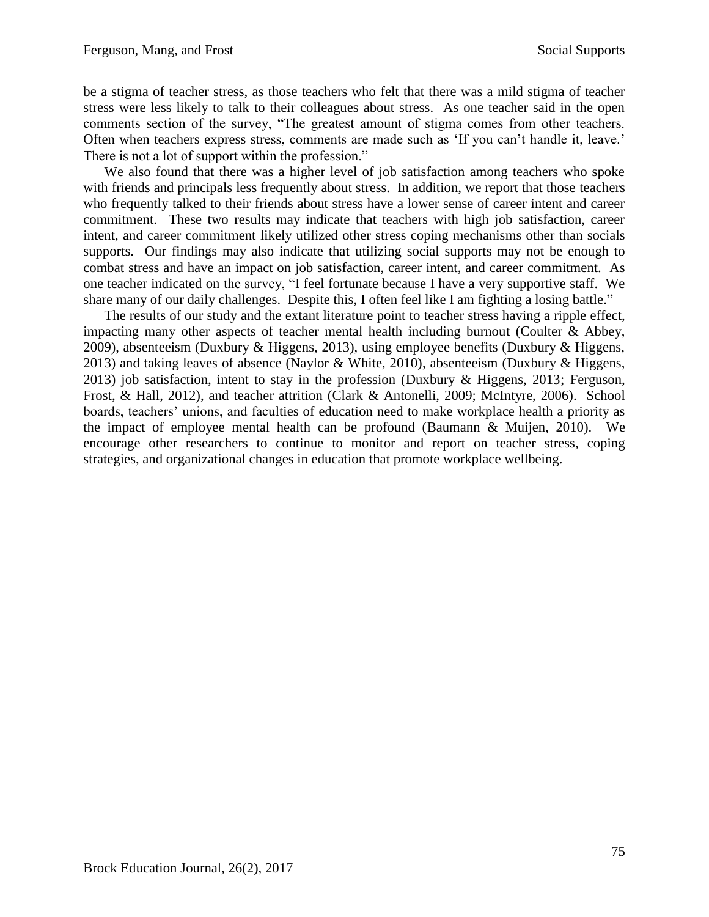be a stigma of teacher stress, as those teachers who felt that there was a mild stigma of teacher stress were less likely to talk to their colleagues about stress. As one teacher said in the open comments section of the survey, "The greatest amount of stigma comes from other teachers. Often when teachers express stress, comments are made such as 'If you can't handle it, leave.' There is not a lot of support within the profession."

We also found that there was a higher level of job satisfaction among teachers who spoke with friends and principals less frequently about stress. In addition, we report that those teachers who frequently talked to their friends about stress have a lower sense of career intent and career commitment. These two results may indicate that teachers with high job satisfaction, career intent, and career commitment likely utilized other stress coping mechanisms other than socials supports. Our findings may also indicate that utilizing social supports may not be enough to combat stress and have an impact on job satisfaction, career intent, and career commitment. As one teacher indicated on the survey, "I feel fortunate because I have a very supportive staff. We share many of our daily challenges. Despite this, I often feel like I am fighting a losing battle."

The results of our study and the extant literature point to teacher stress having a ripple effect, impacting many other aspects of teacher mental health including burnout (Coulter & Abbey, 2009), absenteeism (Duxbury & Higgens, 2013), using employee benefits (Duxbury & Higgens, 2013) and taking leaves of absence (Naylor & White, 2010), absenteeism (Duxbury & Higgens, 2013) job satisfaction, intent to stay in the profession (Duxbury & Higgens, 2013; Ferguson, Frost, & Hall, 2012), and teacher attrition (Clark & Antonelli, 2009; McIntyre, 2006). School boards, teachers' unions, and faculties of education need to make workplace health a priority as the impact of employee mental health can be profound (Baumann & Muijen, 2010). We encourage other researchers to continue to monitor and report on teacher stress, coping strategies, and organizational changes in education that promote workplace wellbeing.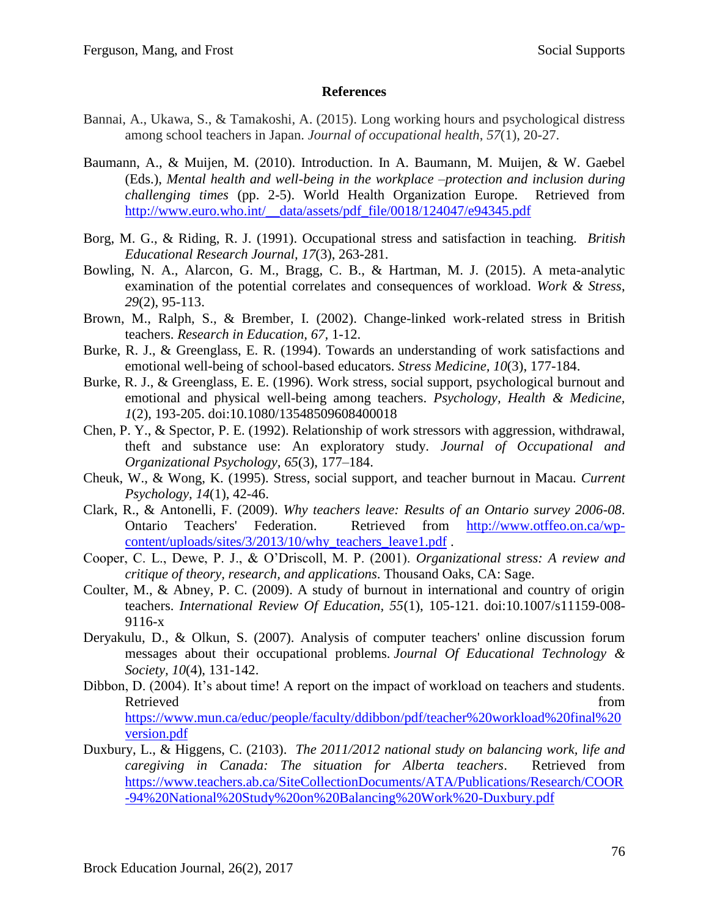# **References**

- Bannai, A., Ukawa, S., & Tamakoshi, A. (2015). Long working hours and psychological distress among school teachers in Japan. *Journal of occupational health*, *57*(1), 20-27.
- Baumann, A., & Muijen, M. (2010). Introduction. In A. Baumann, M. Muijen, & W. Gaebel (Eds.), *Mental health and well-being in the workplace –protection and inclusion during challenging times* (pp. 2-5). World Health Organization Europe. Retrieved from http://www.euro.who.int/ data/assets/pdf file/0018/124047/e94345.pdf
- Borg, M. G., & Riding, R. J. (1991). Occupational stress and satisfaction in teaching. *British Educational Research Journal, 17*(3), 263-281.
- Bowling, N. A., Alarcon, G. M., Bragg, C. B., & Hartman, M. J. (2015). A meta-analytic examination of the potential correlates and consequences of workload. *Work & Stress*, *29*(2), 95-113.
- Brown, M., Ralph, S., & Brember, I. (2002). Change-linked work-related stress in British teachers. *Research in Education, 67,* 1-12.
- Burke, R. J., & Greenglass, E. R. (1994). Towards an understanding of work satisfactions and emotional well-being of school-based educators. *Stress Medicine, 10*(3), 177-184.
- Burke, R. J., & Greenglass, E. E. (1996). Work stress, social support, psychological burnout and emotional and physical well-being among teachers. *Psychology, Health & Medicine, 1*(2), 193-205. doi:10.1080/13548509608400018
- Chen, P. Y., & Spector, P. E. (1992). Relationship of work stressors with aggression, withdrawal, theft and substance use: An exploratory study. *Journal of Occupational and Organizational Psychology, 65*(3), 177–184.
- Cheuk, W., & Wong, K. (1995). Stress, social support, and teacher burnout in Macau. *Current Psychology, 14*(1), 42-46.
- Clark, R., & Antonelli, F. (2009). *Why teachers leave: Results of an Ontario survey 2006-08*. Ontario Teachers' Federation. Retrieved from [http://www.otffeo.on.ca/wp](http://www.otffeo.on.ca/wp-content/uploads/sites/3/2013/10/why_teachers_leave1.pdf)[content/uploads/sites/3/2013/10/why\\_teachers\\_leave1.pdf](http://www.otffeo.on.ca/wp-content/uploads/sites/3/2013/10/why_teachers_leave1.pdf) .
- Cooper, C. L., Dewe, P. J., & O'Driscoll, M. P. (2001). *Organizational stress: A review and critique of theory, research, and applications*. Thousand Oaks, CA: Sage.
- Coulter, M., & Abney, P. C. (2009). A study of burnout in international and country of origin teachers. *International Review Of Education, 55*(1), 105-121. doi:10.1007/s11159-008- 9116-x
- Deryakulu, D., & Olkun, S. (2007). Analysis of computer teachers' online discussion forum messages about their occupational problems. *Journal Of Educational Technology & Society, 10*(4), 131-142.
- Dibbon, D. (2004). It's about time! A report on the impact of workload on teachers and students. Retrieved from the state of the state of the state of the state of the state of the state of the state of the state of the state of the state of the state of the state of the state of the state of the state of the state of [https://www.mun.ca/educ/people/faculty/ddibbon/pdf/teacher%20workload%20final%20](https://www.mun.ca/educ/people/faculty/ddibbon/pdf/teacher%20workload%20final%20version.pdf) [version.pdf](https://www.mun.ca/educ/people/faculty/ddibbon/pdf/teacher%20workload%20final%20version.pdf)
- Duxbury, L., & Higgens, C. (2103). *The 2011/2012 national study on balancing work, life and caregiving in Canada: The situation for Alberta teachers*. Retrieved from [https://www.teachers.ab.ca/SiteCollectionDocuments/ATA/Publications/Research/COOR](https://www.teachers.ab.ca/SiteCollectionDocuments/ATA/Publications/Research/COOR-94%20National%20Study%20on%20Balancing%20Work%20-Duxbury.pdf) [-94%20National%20Study%20on%20Balancing%20Work%20-Duxbury.pdf](https://www.teachers.ab.ca/SiteCollectionDocuments/ATA/Publications/Research/COOR-94%20National%20Study%20on%20Balancing%20Work%20-Duxbury.pdf)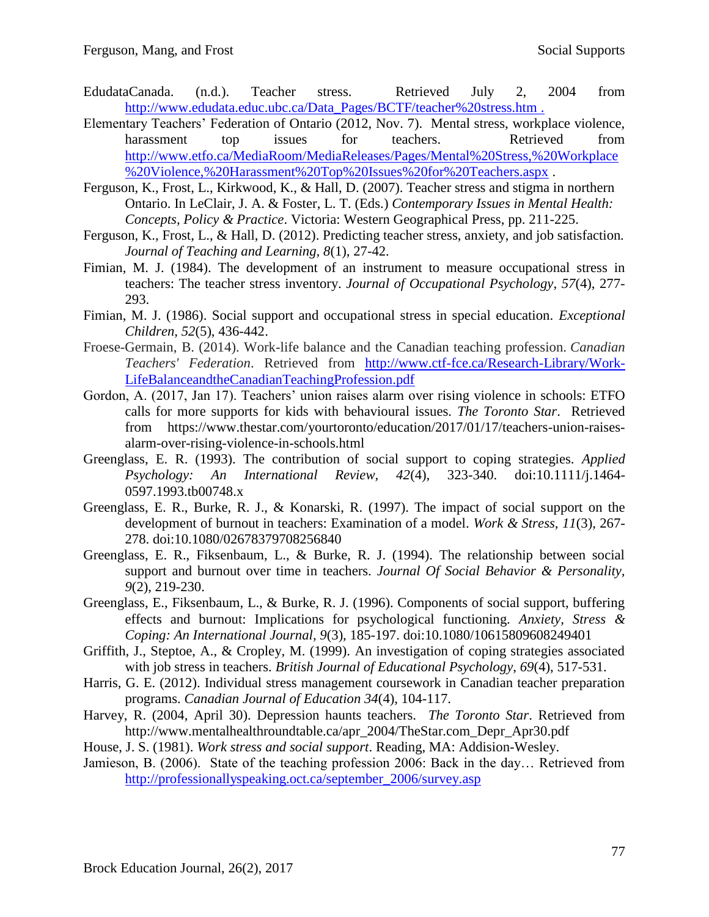- EdudataCanada. (n.d.). Teacher stress. Retrieved July 2, 2004 from [http://www.edudata.educ.ubc.ca/Data\\_Pages/BCTF/teacher%20stress.htm](http://www.edudata.educ.ubc.ca/Data_Pages/BCTF/teacher%20stress.htm) .
- Elementary Teachers' Federation of Ontario (2012, Nov. 7). Mental stress, workplace violence, harassment top issues for teachers. Retrieved from [http://www.etfo.ca/MediaRoom/MediaReleases/Pages/Mental%20Stress,%20Workplace](http://www.etfo.ca/MediaRoom/MediaReleases/Pages/Mental%20Stress,%20Workplace%20Violence,%20Harassment%20Top%20Issues%20for%20Teachers.aspx) [%20Violence,%20Harassment%20Top%20Issues%20for%20Teachers.aspx](http://www.etfo.ca/MediaRoom/MediaReleases/Pages/Mental%20Stress,%20Workplace%20Violence,%20Harassment%20Top%20Issues%20for%20Teachers.aspx) .
- Ferguson, K., Frost, L., Kirkwood, K., & Hall, D. (2007). Teacher stress and stigma in northern Ontario. In LeClair, J. A. & Foster, L. T. (Eds.) *Contemporary Issues in Mental Health: Concepts, Policy & Practice*. Victoria: Western Geographical Press, pp. 211-225.
- Ferguson, K., Frost, L., & Hall, D. (2012). Predicting teacher stress, anxiety, and job satisfaction*. Journal of Teaching and Learning, 8*(1), 27-42.
- Fimian, M. J. (1984). The development of an instrument to measure occupational stress in teachers: The teacher stress inventory. *Journal of Occupational Psychology*, *57*(4), 277- 293.
- Fimian, M. J. (1986). Social support and occupational stress in special education. *Exceptional Children, 52*(5), 436-442.
- Froese-Germain, B. (2014). Work-life balance and the Canadian teaching profession. *Canadian Teachers' Federation*. Retrieved from [http://www.ctf-fce.ca/Research-Library/Work-](http://www.ctf-fce.ca/Research-Library/Work-LifeBalanceandtheCanadianTeachingProfession.pdf)[LifeBalanceandtheCanadianTeachingProfession.pdf](http://www.ctf-fce.ca/Research-Library/Work-LifeBalanceandtheCanadianTeachingProfession.pdf)
- Gordon, A. (2017, Jan 17). Teachers' union raises alarm over rising violence in schools: ETFO calls for more supports for kids with behavioural issues. *The Toronto Star*. Retrieved from https://www.thestar.com/yourtoronto/education/2017/01/17/teachers-union-raisesalarm-over-rising-violence-in-schools.html
- Greenglass, E. R. (1993). The contribution of social support to coping strategies. *Applied Psychology: An International Review, 42*(4), 323-340. doi:10.1111/j.1464- 0597.1993.tb00748.x
- Greenglass, E. R., Burke, R. J., & Konarski, R. (1997). The impact of social support on the development of burnout in teachers: Examination of a model. *Work & Stress, 11*(3), 267- 278. doi:10.1080/02678379708256840
- Greenglass, E. R., Fiksenbaum, L., & Burke, R. J. (1994). The relationship between social support and burnout over time in teachers. *Journal Of Social Behavior & Personality, 9*(2), 219-230.
- Greenglass, E., Fiksenbaum, L., & Burke, R. J. (1996). Components of social support, buffering effects and burnout: Implications for psychological functioning. *Anxiety, Stress & Coping: An International Journal, 9*(3), 185-197. doi:10.1080/10615809608249401
- Griffith, J., Steptoe, A., & Cropley, M. (1999). An investigation of coping strategies associated with job stress in teachers. *British Journal of Educational Psychology*, *69*(4), 517-531.
- Harris, G. E. (2012). Individual stress management coursework in Canadian teacher preparation programs. *Canadian Journal of Education 34*(4), 104-117.
- Harvey, R. (2004, April 30). Depression haunts teachers. *The Toronto Star*. Retrieved from http://www.mentalhealthroundtable.ca/apr\_2004/TheStar.com\_Depr\_Apr30.pdf
- House, J. S. (1981). *Work stress and social support*. Reading, MA: Addision-Wesley.
- Jamieson, B. (2006). State of the teaching profession 2006: Back in the day… Retrieved from [http://professionallyspeaking.oct.ca/september\\_2006/survey.asp](http://professionallyspeaking.oct.ca/september_2006/survey.asp)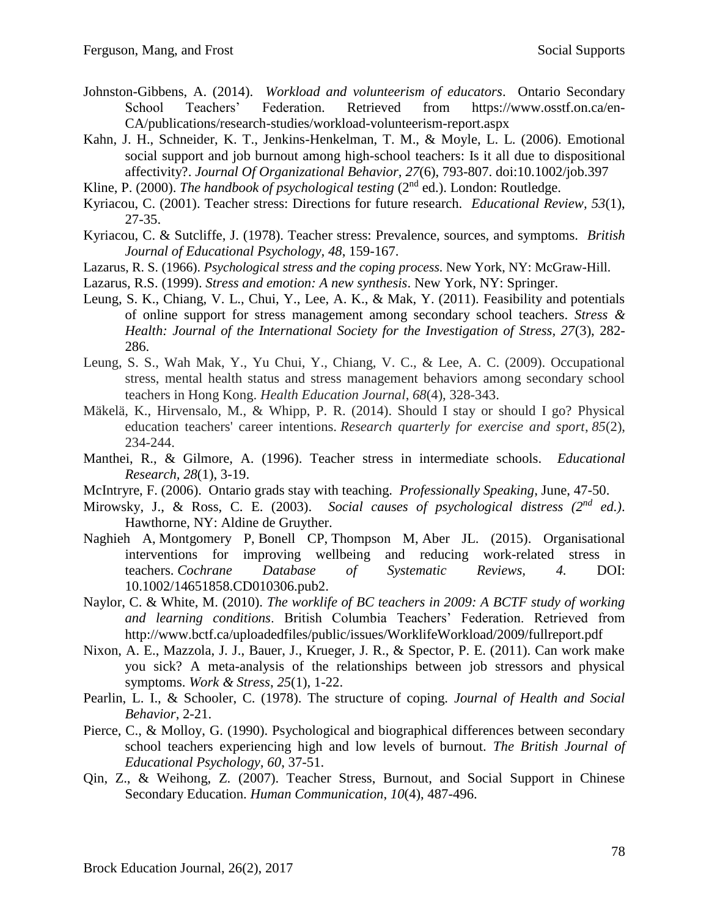- Johnston-Gibbens, A. (2014). *Workload and volunteerism of educators*. Ontario Secondary School Teachers' Federation. Retrieved from https://www.osstf.on.ca/en-CA/publications/research-studies/workload-volunteerism-report.aspx
- Kahn, J. H., Schneider, K. T., Jenkins-Henkelman, T. M., & Moyle, L. L. (2006). Emotional social support and job burnout among high-school teachers: Is it all due to dispositional affectivity?. *Journal Of Organizational Behavior, 27*(6), 793-807. doi:10.1002/job.397
- Kline, P. (2000). *The handbook of psychological testing* (2<sup>nd</sup> ed.). London: Routledge.
- Kyriacou, C. (2001). Teacher stress: Directions for future research. *Educational Review, 53*(1), 27-35.
- Kyriacou, C. & Sutcliffe, J. (1978). Teacher stress: Prevalence, sources, and symptoms. *British Journal of Educational Psychology, 48*, 159-167.
- Lazarus, R. S. (1966). *Psychological stress and the coping process*. New York, NY: McGraw-Hill.
- Lazarus, R.S. (1999). *Stress and emotion: A new synthesis*. New York, NY: Springer.
- Leung, S. K., Chiang, V. L., Chui, Y., Lee, A. K., & Mak, Y. (2011). Feasibility and potentials of online support for stress management among secondary school teachers. *Stress & Health: Journal of the International Society for the Investigation of Stress, 27*(3), 282- 286.
- Leung, S. S., Wah Mak, Y., Yu Chui, Y., Chiang, V. C., & Lee, A. C. (2009). Occupational stress, mental health status and stress management behaviors among secondary school teachers in Hong Kong. *Health Education Journal*, *68*(4), 328-343.
- Mäkelä, K., Hirvensalo, M., & Whipp, P. R. (2014). Should I stay or should I go? Physical education teachers' career intentions. *Research quarterly for exercise and sport*, *85*(2), 234-244.
- Manthei, R., & Gilmore, A. (1996). Teacher stress in intermediate schools. *Educational Research, 28*(1), 3-19.
- McIntryre, F. (2006). Ontario grads stay with teaching. *Professionally Speaking*, June, 47-50.
- Mirowsky, J., & Ross, C. E. (2003). *Social causes of psychological distress (2<sup>nd</sup> ed.)*. Hawthorne, NY: Aldine de Gruyther.
- Naghieh A, Montgomery P, Bonell CP, Thompson M, Aber JL. (2015). Organisational interventions for improving wellbeing and reducing work-related stress in teachers. *Cochrane Database of Systematic Reviews, 4.* DOI: 10.1002/14651858.CD010306.pub2.
- Naylor, C. & White, M. (2010). *The worklife of BC teachers in 2009: A BCTF study of working and learning conditions*. British Columbia Teachers' Federation. Retrieved from http://www.bctf.ca/uploadedfiles/public/issues/WorklifeWorkload/2009/fullreport.pdf
- Nixon, A. E., Mazzola, J. J., Bauer, J., Krueger, J. R., & Spector, P. E. (2011). Can work make you sick? A meta-analysis of the relationships between job stressors and physical symptoms. *Work & Stress*, *25*(1), 1-22.
- Pearlin, L. I., & Schooler, C. (1978). The structure of coping. *Journal of Health and Social Behavior*, 2-21.
- Pierce, C., & Molloy, G. (1990). Psychological and biographical differences between secondary school teachers experiencing high and low levels of burnout. *The British Journal of Educational Psychology, 60*, 37-51.
- Qin, Z., & Weihong, Z. (2007). Teacher Stress, Burnout, and Social Support in Chinese Secondary Education. *Human Communication*, *10*(4), 487-496.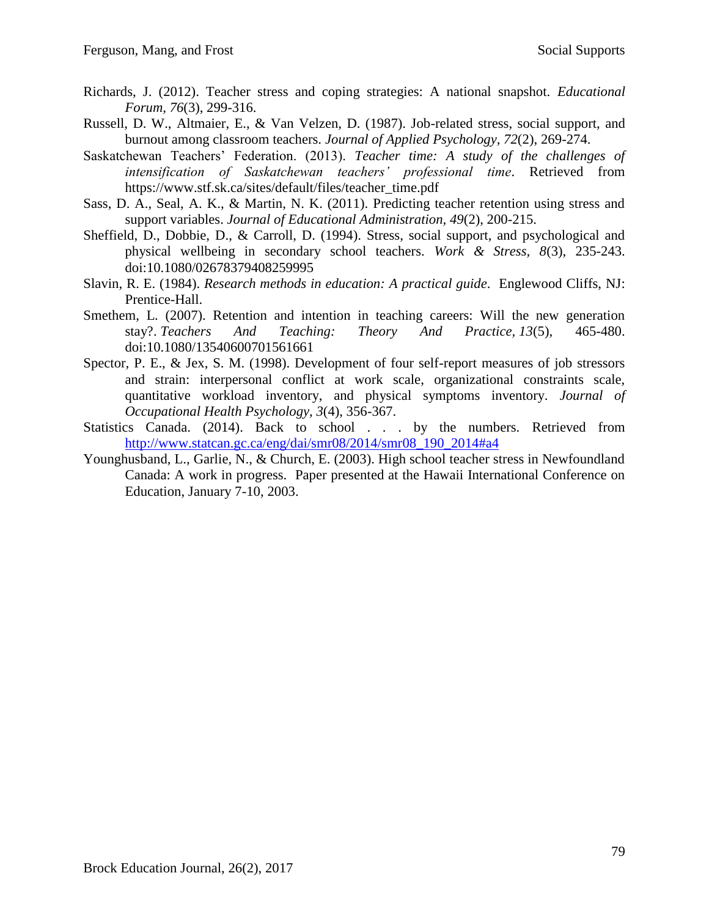- Richards, J. (2012). Teacher stress and coping strategies: A national snapshot. *Educational Forum, 76*(3), 299-316.
- Russell, D. W., Altmaier, E., & Van Velzen, D. (1987). Job-related stress, social support, and burnout among classroom teachers. *Journal of Applied Psychology, 72*(2), 269-274.
- Saskatchewan Teachers' Federation. (2013). *Teacher time: A study of the challenges of intensification of Saskatchewan teachers' professional time*. Retrieved from https://www.stf.sk.ca/sites/default/files/teacher\_time.pdf
- Sass, D. A., Seal, A. K., & Martin, N. K. (2011). Predicting teacher retention using stress and support variables. *Journal of Educational Administration, 49*(2), 200-215.
- Sheffield, D., Dobbie, D., & Carroll, D. (1994). Stress, social support, and psychological and physical wellbeing in secondary school teachers. *Work & Stress, 8*(3), 235-243. doi:10.1080/02678379408259995
- Slavin, R. E. (1984). *Research methods in education: A practical guide*. Englewood Cliffs, NJ: Prentice-Hall.
- Smethem, L. (2007). Retention and intention in teaching careers: Will the new generation stay?. *Teachers And Teaching: Theory And Practice, 13*(5), 465-480. doi:10.1080/13540600701561661
- Spector, P. E., & Jex, S. M. (1998). Development of four self-report measures of job stressors and strain: interpersonal conflict at work scale, organizational constraints scale, quantitative workload inventory, and physical symptoms inventory. *Journal of Occupational Health Psychology*, *3*(4), 356-367.
- Statistics Canada. (2014). Back to school . . . by the numbers. Retrieved from [http://www.statcan.gc.ca/eng/dai/smr08/2014/smr08\\_190\\_2014#a4](http://www.statcan.gc.ca/eng/dai/smr08/2014/smr08_190_2014#a4)
- Younghusband, L., Garlie, N., & Church, E. (2003). High school teacher stress in Newfoundland Canada: A work in progress. Paper presented at the Hawaii International Conference on Education, January 7-10, 2003.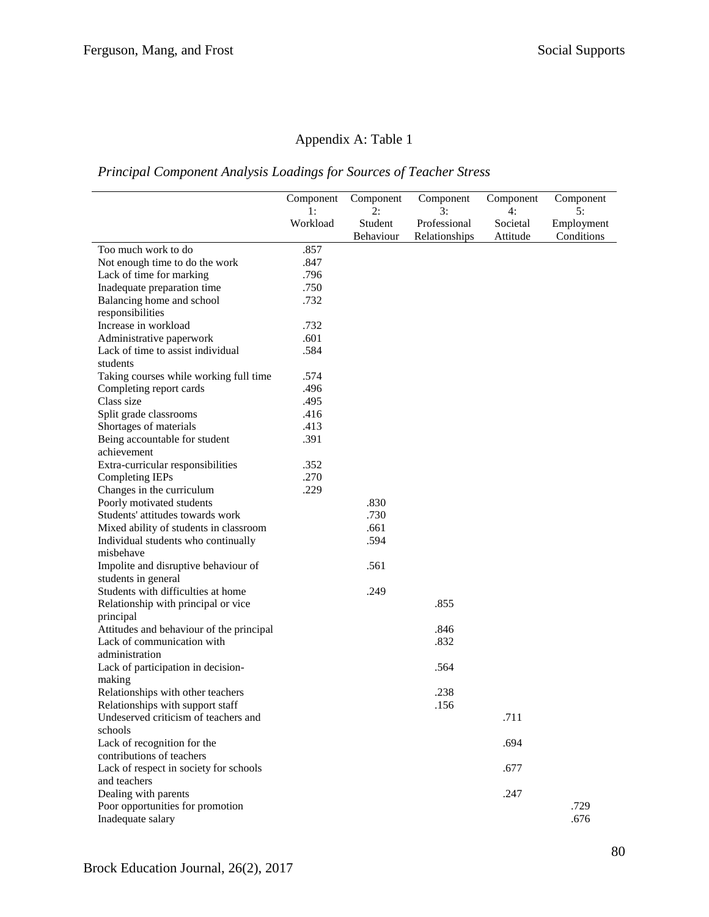# Appendix A: Table 1

# *Principal Component Analysis Loadings for Sources of Teacher Stress*

|                                          | Component | Component            | Component                     | Component            | Component                |
|------------------------------------------|-----------|----------------------|-------------------------------|----------------------|--------------------------|
|                                          | 1:        | 2:                   | 3:                            | 4:                   | 5:                       |
|                                          | Workload  | Student<br>Behaviour | Professional<br>Relationships | Societal<br>Attitude | Employment<br>Conditions |
| Too much work to do                      | .857      |                      |                               |                      |                          |
| Not enough time to do the work           | .847      |                      |                               |                      |                          |
| Lack of time for marking                 | .796      |                      |                               |                      |                          |
| Inadequate preparation time              | .750      |                      |                               |                      |                          |
| Balancing home and school                | .732      |                      |                               |                      |                          |
| responsibilities                         |           |                      |                               |                      |                          |
| Increase in workload                     | .732      |                      |                               |                      |                          |
| Administrative paperwork                 | .601      |                      |                               |                      |                          |
| Lack of time to assist individual        | .584      |                      |                               |                      |                          |
| students                                 |           |                      |                               |                      |                          |
| Taking courses while working full time   | .574      |                      |                               |                      |                          |
| Completing report cards                  | .496      |                      |                               |                      |                          |
| Class size                               | .495      |                      |                               |                      |                          |
| Split grade classrooms                   | .416      |                      |                               |                      |                          |
| Shortages of materials                   | .413      |                      |                               |                      |                          |
| Being accountable for student            | .391      |                      |                               |                      |                          |
| achievement                              |           |                      |                               |                      |                          |
| Extra-curricular responsibilities        | .352      |                      |                               |                      |                          |
| Completing IEPs                          | .270      |                      |                               |                      |                          |
| Changes in the curriculum                | .229      |                      |                               |                      |                          |
| Poorly motivated students                |           | .830                 |                               |                      |                          |
| Students' attitudes towards work         |           | .730                 |                               |                      |                          |
| Mixed ability of students in classroom   |           | .661                 |                               |                      |                          |
| Individual students who continually      |           | .594                 |                               |                      |                          |
| misbehave                                |           |                      |                               |                      |                          |
| Impolite and disruptive behaviour of     |           | .561                 |                               |                      |                          |
| students in general                      |           |                      |                               |                      |                          |
| Students with difficulties at home       |           | .249                 |                               |                      |                          |
| Relationship with principal or vice      |           |                      | .855                          |                      |                          |
| principal                                |           |                      |                               |                      |                          |
| Attitudes and behaviour of the principal |           |                      | .846                          |                      |                          |
| Lack of communication with               |           |                      | .832                          |                      |                          |
| administration                           |           |                      |                               |                      |                          |
| Lack of participation in decision-       |           |                      | .564                          |                      |                          |
| making                                   |           |                      |                               |                      |                          |
| Relationships with other teachers        |           |                      | .238                          |                      |                          |
| Relationships with support staff         |           |                      | .156                          |                      |                          |
| Undeserved criticism of teachers and     |           |                      |                               | .711                 |                          |
| schools                                  |           |                      |                               |                      |                          |
| Lack of recognition for the              |           |                      |                               | .694                 |                          |
| contributions of teachers                |           |                      |                               |                      |                          |
| Lack of respect in society for schools   |           |                      |                               | .677                 |                          |
| and teachers                             |           |                      |                               |                      |                          |
| Dealing with parents                     |           |                      |                               | .247                 |                          |
| Poor opportunities for promotion         |           |                      |                               |                      | .729                     |
| Inadequate salary                        |           |                      |                               |                      | .676                     |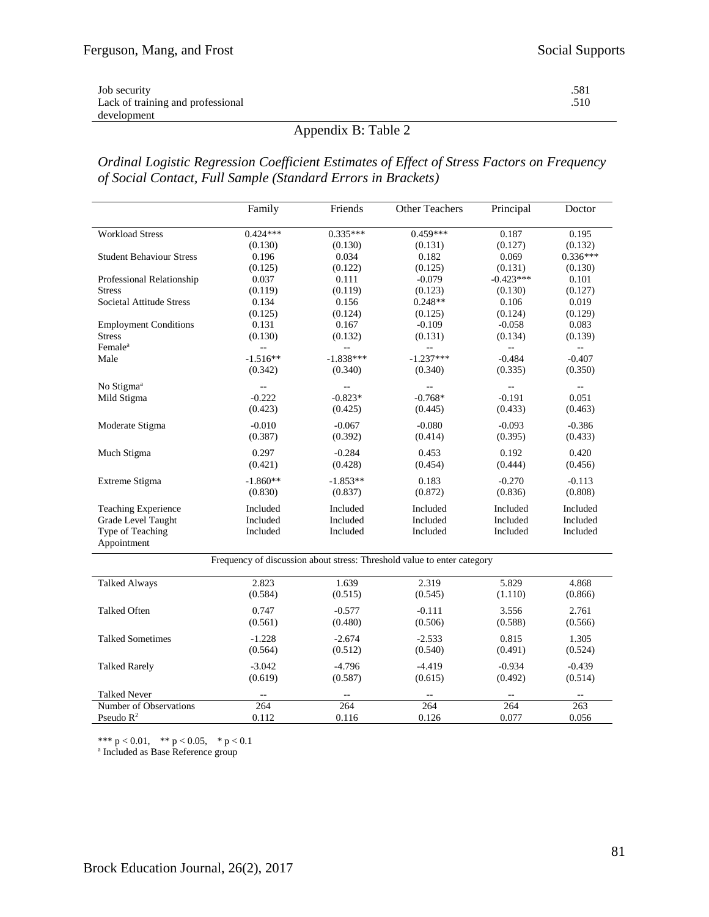| Job security                      | .581 |
|-----------------------------------|------|
| Lack of training and professional | .510 |
| development                       |      |

# Appendix B: Table 2

*Ordinal Logistic Regression Coefficient Estimates of Effect of Stress Factors on Frequency of Social Contact, Full Sample (Standard Errors in Brackets)* 

|                                 | Family     | Friends                  | <b>Other Teachers</b>                                                   | Principal   | Doctor                    |
|---------------------------------|------------|--------------------------|-------------------------------------------------------------------------|-------------|---------------------------|
| <b>Workload Stress</b>          | $0.424***$ | $0.335***$               | 0.459***                                                                | 0.187       | 0.195                     |
|                                 | (0.130)    | (0.130)                  | (0.131)                                                                 | (0.127)     | (0.132)                   |
| <b>Student Behaviour Stress</b> | 0.196      | 0.034                    | 0.182                                                                   | 0.069       | $0.336***$                |
|                                 | (0.125)    | (0.122)                  | (0.125)                                                                 | (0.131)     | (0.130)                   |
| Professional Relationship       | 0.037      | 0.111                    | $-0.079$                                                                | $-0.423***$ | 0.101                     |
| <b>Stress</b>                   | (0.119)    | (0.119)                  | (0.123)                                                                 | (0.130)     | (0.127)                   |
| Societal Attitude Stress        | 0.134      | 0.156                    | $0.248**$                                                               | 0.106       | 0.019                     |
|                                 | (0.125)    | (0.124)                  | (0.125)                                                                 | (0.124)     | (0.129)                   |
| <b>Employment Conditions</b>    | 0.131      | 0.167                    | $-0.109$                                                                | $-0.058$    | 0.083                     |
| <b>Stress</b>                   | (0.130)    | (0.132)                  | (0.131)                                                                 | (0.134)     | (0.139)                   |
| Female <sup>a</sup>             |            | $\overline{a}$           | $-$                                                                     | --          | $\mathbb{L}^2$            |
| Male                            | $-1.516**$ | $-1.838***$              | $-1.237***$                                                             | $-0.484$    | $-0.407$                  |
|                                 | (0.342)    | (0.340)                  | (0.340)                                                                 | (0.335)     | (0.350)                   |
| No Stigma <sup>a</sup>          | $-$        | $\overline{\phantom{a}}$ | $-1$                                                                    | $-1$        | $\mathbb{L}^{\mathbb{L}}$ |
| Mild Stigma                     | $-0.222$   | $-0.823*$                | $-0.768*$                                                               | $-0.191$    | 0.051                     |
|                                 | (0.423)    | (0.425)                  | (0.445)                                                                 | (0.433)     | (0.463)                   |
| Moderate Stigma                 | $-0.010$   | $-0.067$                 | $-0.080$                                                                | $-0.093$    | $-0.386$                  |
|                                 | (0.387)    | (0.392)                  | (0.414)                                                                 | (0.395)     | (0.433)                   |
| Much Stigma                     | 0.297      | $-0.284$                 | 0.453                                                                   | 0.192       | 0.420                     |
|                                 | (0.421)    | (0.428)                  | (0.454)                                                                 | (0.444)     | (0.456)                   |
| Extreme Stigma                  | $-1.860**$ | $-1.853**$               | 0.183                                                                   | $-0.270$    | $-0.113$                  |
|                                 | (0.830)    | (0.837)                  | (0.872)                                                                 | (0.836)     | (0.808)                   |
| <b>Teaching Experience</b>      | Included   | Included                 | Included                                                                | Included    | Included                  |
| Grade Level Taught              | Included   | Included                 | Included                                                                | Included    | Included                  |
| Type of Teaching                | Included   | Included                 | Included                                                                | Included    | Included                  |
| Appointment                     |            |                          |                                                                         |             |                           |
|                                 |            |                          | Frequency of discussion about stress: Threshold value to enter category |             |                           |
| <b>Talked Always</b>            | 2.823      | 1.639                    | 2.319                                                                   | 5.829       | 4.868                     |
|                                 | (0.584)    | (0.515)                  | (0.545)                                                                 | (1.110)     | (0.866)                   |
| Talked Often                    | 0.747      | $-0.577$                 | $-0.111$                                                                | 3.556       | 2.761                     |
|                                 | (0.561)    | (0.480)                  | (0.506)                                                                 | (0.588)     | (0.566)                   |
| <b>Talked Sometimes</b>         | $-1.228$   | $-2.674$                 | $-2.533$                                                                | 0.815       | 1.305                     |
|                                 | (0.564)    | (0.512)                  | (0.540)                                                                 | (0.491)     | (0.524)                   |
| <b>Talked Rarely</b>            | $-3.042$   | $-4.796$                 | $-4.419$                                                                | $-0.934$    | $-0.439$                  |
|                                 | (0.619)    | (0.587)                  | (0.615)                                                                 | (0.492)     | (0.514)                   |
| <b>Talked Never</b>             |            | $\overline{\phantom{a}}$ | $\overline{a}$                                                          |             |                           |
| Number of Observations          | 264        | 264                      | 264                                                                     | 264         | 263                       |
| Pseudo $R^2$                    | 0.112      | 0.116                    | 0.126                                                                   | 0.077       | 0.056                     |

\*\*\*  $p < 0.01$ , \*\*  $p < 0.05$ , \*  $p < 0.1$ 

a Included as Base Reference group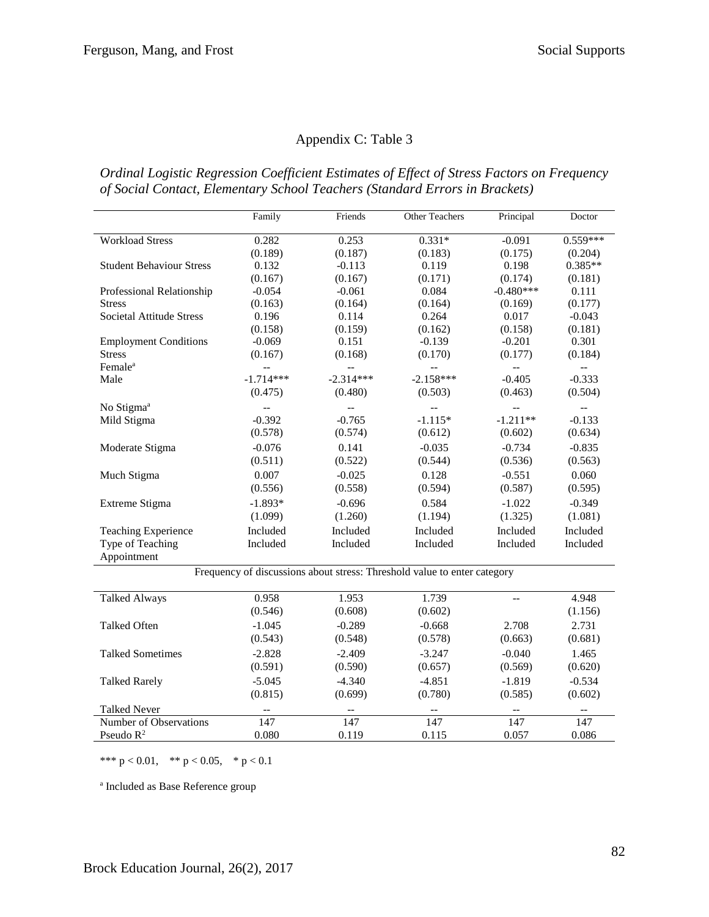# Appendix C: Table 3

*Ordinal Logistic Regression Coefficient Estimates of Effect of Stress Factors on Frequency of Social Contact, Elementary School Teachers (Standard Errors in Brackets)*

|                                 | Family                   | Friends                                       | Other Teachers                                                           | Principal                | Doctor                      |
|---------------------------------|--------------------------|-----------------------------------------------|--------------------------------------------------------------------------|--------------------------|-----------------------------|
| <b>Workload Stress</b>          | 0.282                    | 0.253                                         | $0.331*$                                                                 | $-0.091$                 | $0.559***$                  |
|                                 | (0.189)                  | (0.187)                                       | (0.183)                                                                  | (0.175)                  | (0.204)                     |
| <b>Student Behaviour Stress</b> | 0.132                    | $-0.113$                                      | 0.119                                                                    | 0.198                    | $0.385**$                   |
|                                 | (0.167)                  | (0.167)                                       | (0.171)                                                                  | (0.174)                  | (0.181)                     |
| Professional Relationship       | $-0.054$                 | $-0.061$                                      | 0.084                                                                    | $-0.480***$              | 0.111                       |
| <b>Stress</b>                   | (0.163)                  | (0.164)                                       | (0.164)                                                                  | (0.169)                  | (0.177)                     |
| <b>Societal Attitude Stress</b> | 0.196                    | 0.114                                         | 0.264                                                                    | 0.017                    | $-0.043$                    |
|                                 | (0.158)                  | (0.159)                                       | (0.162)                                                                  | (0.158)                  | (0.181)                     |
| <b>Employment Conditions</b>    | $-0.069$                 | 0.151                                         | $-0.139$                                                                 | $-0.201$                 | 0.301                       |
| <b>Stress</b>                   | (0.167)                  | (0.168)                                       | (0.170)                                                                  | (0.177)                  | (0.184)                     |
| Female <sup>a</sup>             | $\overline{a}$           | $\overline{\phantom{a}}$                      | $\overline{\phantom{a}}$                                                 | $-$                      | $\mathcal{L}(\mathcal{L})$  |
| Male                            | $-1.714***$              | $-2.314***$                                   | $-2.158***$                                                              | $-0.405$                 | $-0.333$                    |
|                                 | (0.475)                  | (0.480)                                       | (0.503)                                                                  | (0.463)                  | (0.504)                     |
| No Stigma <sup>a</sup>          | $\overline{a}$           | $\overline{a}$                                | $\mathbb{L}^{\perp}$                                                     | $\overline{a}$           | ΞĒ,                         |
| Mild Stigma                     | $-0.392$                 | $-0.765$                                      | $-1.115*$                                                                | $-1.211**$               | $-0.133$                    |
|                                 | (0.578)                  | (0.574)                                       | (0.612)                                                                  | (0.602)                  | (0.634)                     |
| Moderate Stigma                 | $-0.076$                 | 0.141                                         | $-0.035$                                                                 | $-0.734$                 | $-0.835$                    |
|                                 | (0.511)                  | (0.522)                                       | (0.544)                                                                  | (0.536)                  | (0.563)                     |
| Much Stigma                     | 0.007                    | $-0.025$                                      | 0.128                                                                    | $-0.551$                 | 0.060                       |
|                                 | (0.556)                  | (0.558)                                       | (0.594)                                                                  | (0.587)                  | (0.595)                     |
| Extreme Stigma                  | $-1.893*$                | $-0.696$                                      | 0.584                                                                    | $-1.022$                 | $-0.349$                    |
|                                 | (1.099)                  | (1.260)                                       | (1.194)                                                                  | (1.325)                  | (1.081)                     |
| <b>Teaching Experience</b>      | Included                 | Included                                      | Included                                                                 | Included                 | Included                    |
| Type of Teaching                | Included                 | Included                                      | Included                                                                 | Included                 | Included                    |
| Appointment                     |                          |                                               |                                                                          |                          |                             |
|                                 |                          |                                               | Frequency of discussions about stress: Threshold value to enter category |                          |                             |
|                                 |                          |                                               |                                                                          |                          |                             |
| <b>Talked Always</b>            | 0.958                    | 1.953                                         | 1.739                                                                    | $-$                      | 4.948                       |
|                                 | (0.546)                  | (0.608)                                       | (0.602)                                                                  |                          | (1.156)                     |
| Talked Often                    | $-1.045$                 | $-0.289$                                      | $-0.668$                                                                 | 2.708                    | 2.731                       |
|                                 | (0.543)                  | (0.548)                                       | (0.578)                                                                  | (0.663)                  | (0.681)                     |
| <b>Talked Sometimes</b>         | $-2.828$                 | $-2.409$                                      | $-3.247$                                                                 | $-0.040$                 | 1.465                       |
|                                 | (0.591)                  | (0.590)                                       | (0.657)                                                                  | (0.569)                  | (0.620)                     |
| <b>Talked Rarely</b>            | $-5.045$                 | $-4.340$                                      | $-4.851$                                                                 | $-1.819$                 | $-0.534$                    |
|                                 | (0.815)                  | (0.699)                                       | (0.780)                                                                  | (0.585)                  | (0.602)                     |
| <b>Talked Never</b>             | $\overline{\phantom{m}}$ | $\mathord{\hspace{1pt}\text{--}\hspace{1pt}}$ | $\overline{\phantom{a}}$                                                 | $\overline{\phantom{a}}$ | $\mathcal{L}_{\mathcal{F}}$ |
| Number of Observations          | 147                      | 147                                           | 147                                                                      | 147                      | 147                         |
| Pseudo $R^2$                    | 0.080                    | 0.119                                         | 0.115                                                                    | 0.057                    | 0.086                       |

\*\*\*  $p < 0.01$ , \*\*  $p < 0.05$ , \*  $p < 0.1$ 

a Included as Base Reference group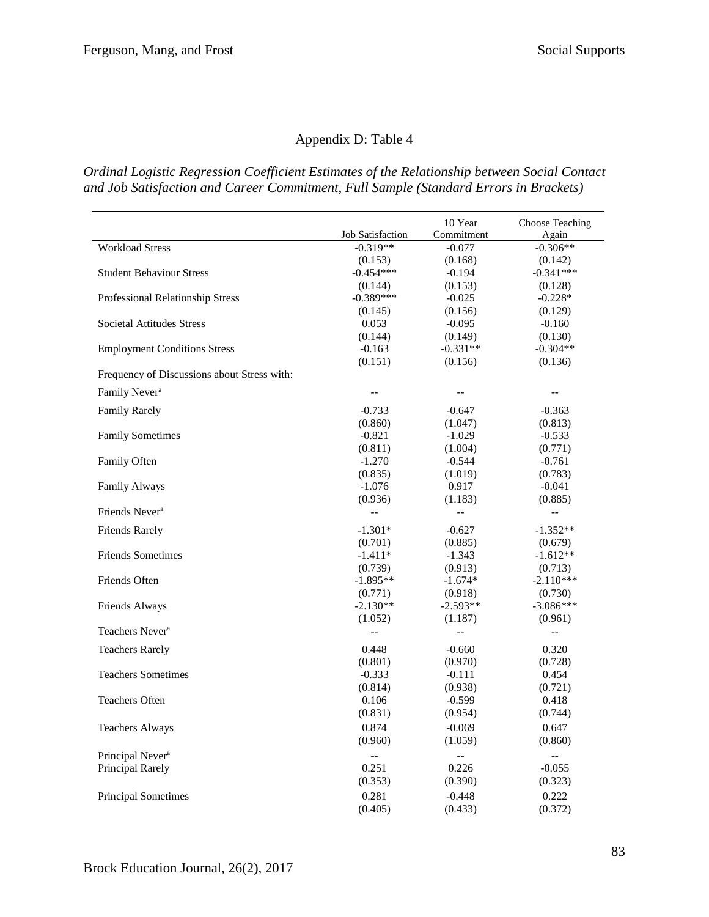# Appendix D: Table 4

*Ordinal Logistic Regression Coefficient Estimates of the Relationship between Social Contact and Job Satisfaction and Career Commitment, Full Sample (Standard Errors in Brackets)*

|                                             |                          | 10 Year                  | <b>Choose Teaching</b>   |
|---------------------------------------------|--------------------------|--------------------------|--------------------------|
|                                             | <b>Job Satisfaction</b>  | Commitment               | Again                    |
| <b>Workload Stress</b>                      | $-0.319**$               | $-0.077$                 | $-0.306**$               |
|                                             | (0.153)                  | (0.168)                  | (0.142)                  |
| <b>Student Behaviour Stress</b>             | $-0.454***$              | $-0.194$                 | $-0.341***$              |
|                                             | (0.144)                  | (0.153)                  | (0.128)                  |
| Professional Relationship Stress            | $-0.389***$              | $-0.025$                 | $-0.228*$                |
|                                             | (0.145)                  | (0.156)                  | (0.129)                  |
| <b>Societal Attitudes Stress</b>            | 0.053                    | $-0.095$                 | $-0.160$                 |
|                                             | (0.144)                  | (0.149)                  | (0.130)                  |
| <b>Employment Conditions Stress</b>         | $-0.163$                 | $-0.331**$               | $-0.304**$               |
|                                             | (0.151)                  | (0.156)                  | (0.136)                  |
| Frequency of Discussions about Stress with: |                          |                          |                          |
| Family Never <sup>a</sup>                   |                          | --                       | --                       |
| <b>Family Rarely</b>                        | $-0.733$                 | $-0.647$                 | $-0.363$                 |
|                                             | (0.860)                  | (1.047)                  | (0.813)                  |
| <b>Family Sometimes</b>                     | $-0.821$                 | $-1.029$                 | $-0.533$                 |
|                                             | (0.811)                  | (1.004)                  | (0.771)                  |
| Family Often                                | $-1.270$                 | $-0.544$                 | $-0.761$                 |
|                                             | (0.835)                  | (1.019)                  | (0.783)                  |
| Family Always                               | $-1.076$                 | 0.917                    | $-0.041$                 |
|                                             | (0.936)                  | (1.183)                  | (0.885)                  |
| Friends Never <sup>a</sup>                  | $\overline{\phantom{a}}$ | $\overline{\phantom{a}}$ | $\overline{\phantom{a}}$ |
| <b>Friends Rarely</b>                       | $-1.301*$                | $-0.627$                 | $-1.352**$               |
|                                             | (0.701)                  | (0.885)                  | (0.679)                  |
| <b>Friends Sometimes</b>                    | $-1.411*$                | $-1.343$                 | $-1.612**$               |
|                                             | (0.739)                  | (0.913)                  | (0.713)                  |
| Friends Often                               | $-1.895**$               | $-1.674*$                | $-2.110***$              |
|                                             | (0.771)                  | (0.918)                  | (0.730)                  |
| Friends Always                              | $-2.130**$               | $-2.593**$               | $-3.086***$              |
|                                             | (1.052)                  | (1.187)                  | (0.961)                  |
| Teachers Never <sup>a</sup>                 | $\overline{a}$           | $\overline{a}$           | $\overline{\phantom{m}}$ |
| <b>Teachers Rarely</b>                      | 0.448                    | $-0.660$                 | 0.320                    |
|                                             | (0.801)                  | (0.970)                  | (0.728)                  |
| <b>Teachers Sometimes</b>                   | $-0.333$                 | $-0.111$                 | 0.454                    |
|                                             | (0.814)                  | (0.938)                  | (0.721)                  |
| <b>Teachers Often</b>                       | 0.106                    | $-0.599$                 | 0.418                    |
|                                             | (0.831)                  | (0.954)                  | (0.744)                  |
| <b>Teachers Always</b>                      | 0.874                    | $-0.069$                 | 0.647                    |
|                                             | (0.960)                  | (1.059)                  | (0.860)                  |
| Principal Never <sup>a</sup>                | $\overline{a}$           | --                       | $-$                      |
| Principal Rarely                            | 0.251                    | 0.226                    | $-0.055$                 |
|                                             | (0.353)                  | (0.390)                  | (0.323)                  |
| <b>Principal Sometimes</b>                  | 0.281                    | $-0.448$                 | 0.222                    |
|                                             | (0.405)                  | (0.433)                  | (0.372)                  |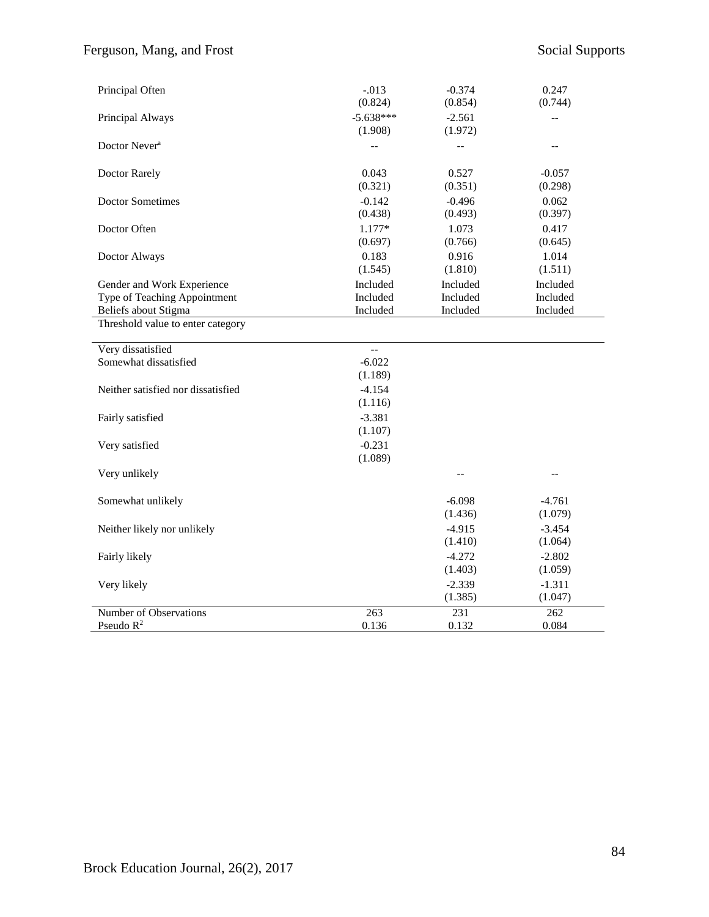| Principal Often                    | $-.013$<br>(0.824)     | $-0.374$<br>(0.854) | 0.247<br>(0.744)    |
|------------------------------------|------------------------|---------------------|---------------------|
| Principal Always                   | $-5.638***$<br>(1.908) | $-2.561$<br>(1.972) |                     |
| Doctor Never <sup>a</sup>          |                        |                     | $-$                 |
| Doctor Rarely                      | 0.043<br>(0.321)       | 0.527<br>(0.351)    | $-0.057$<br>(0.298) |
| <b>Doctor Sometimes</b>            | $-0.142$<br>(0.438)    | $-0.496$<br>(0.493) | 0.062<br>(0.397)    |
| Doctor Often                       | 1.177*<br>(0.697)      | 1.073<br>(0.766)    | 0.417<br>(0.645)    |
| Doctor Always                      | 0.183<br>(1.545)       | 0.916<br>(1.810)    | 1.014<br>(1.511)    |
| Gender and Work Experience         | Included               | Included            | Included            |
| Type of Teaching Appointment       | Included               | Included            | Included            |
| Beliefs about Stigma               | Included               | Included            | Included            |
| Threshold value to enter category  |                        |                     |                     |
| Very dissatisfied                  | $\overline{a}$         |                     |                     |
| Somewhat dissatisfied              | $-6.022$<br>(1.189)    |                     |                     |
| Neither satisfied nor dissatisfied | $-4.154$<br>(1.116)    |                     |                     |
| Fairly satisfied                   | $-3.381$<br>(1.107)    |                     |                     |
| Very satisfied                     | $-0.231$<br>(1.089)    |                     |                     |
| Very unlikely                      |                        |                     | --                  |
| Somewhat unlikely                  |                        | $-6.098$<br>(1.436) | $-4.761$<br>(1.079) |
| Neither likely nor unlikely        |                        | $-4.915$            | $-3.454$            |
|                                    |                        | (1.410)             | (1.064)             |
| Fairly likely                      |                        | $-4.272$            | $-2.802$            |
|                                    |                        | (1.403)             | (1.059)             |
| Very likely                        |                        | $-2.339$            | $-1.311$            |
|                                    |                        | (1.385)             | (1.047)             |
| Number of Observations             | 263                    | 231                 | 262                 |
| Pseudo $R^2$                       | 0.136                  | 0.132               | 0.084               |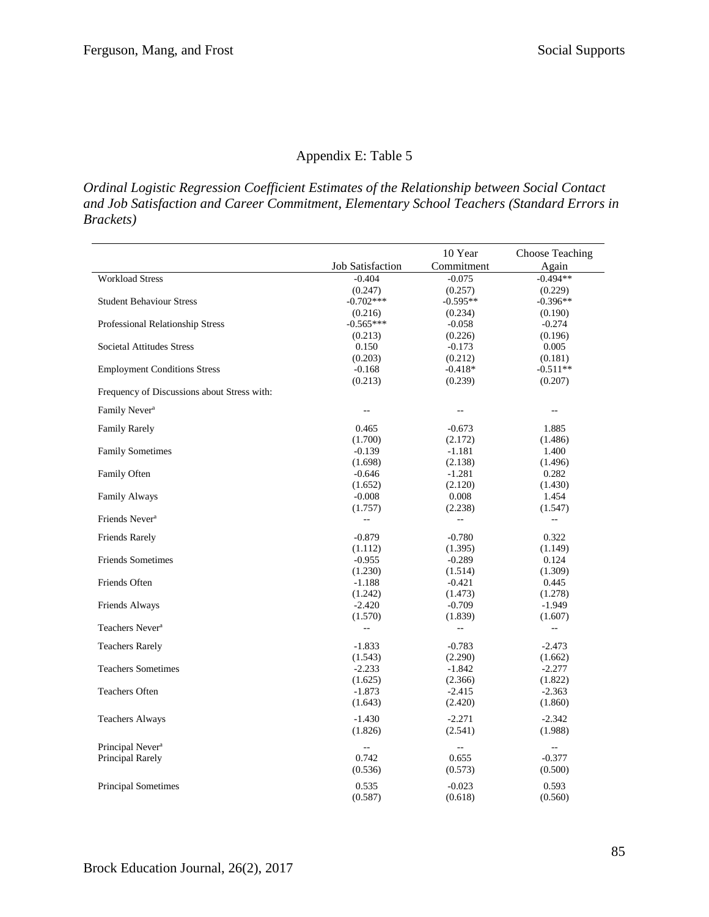# Appendix E: Table 5

*Ordinal Logistic Regression Coefficient Estimates of the Relationship between Social Contact and Job Satisfaction and Career Commitment, Elementary School Teachers (Standard Errors in Brackets)*

|                                             |                         | 10 Year        | <b>Choose Teaching</b> |
|---------------------------------------------|-------------------------|----------------|------------------------|
|                                             | <b>Job Satisfaction</b> | Commitment     | Again                  |
| <b>Workload Stress</b>                      | $-0.404$                | $-0.075$       | $-0.494**$             |
|                                             | (0.247)                 | (0.257)        | (0.229)                |
| <b>Student Behaviour Stress</b>             | $-0.702***$             | $-0.595**$     | $-0.396**$             |
|                                             | (0.216)                 | (0.234)        | (0.190)                |
| Professional Relationship Stress            | $-0.565***$             | $-0.058$       | $-0.274$               |
|                                             | (0.213)                 | (0.226)        | (0.196)                |
| <b>Societal Attitudes Stress</b>            | 0.150                   | $-0.173$       | 0.005                  |
|                                             | (0.203)                 | (0.212)        | (0.181)                |
| <b>Employment Conditions Stress</b>         | $-0.168$                | $-0.418*$      | $-0.511**$             |
|                                             | (0.213)                 | (0.239)        | (0.207)                |
| Frequency of Discussions about Stress with: |                         |                |                        |
| Family Never <sup>a</sup>                   |                         |                |                        |
| <b>Family Rarely</b>                        | 0.465                   | $-0.673$       | 1.885                  |
|                                             | (1.700)                 | (2.172)        | (1.486)                |
| <b>Family Sometimes</b>                     | $-0.139$                | $-1.181$       | 1.400                  |
|                                             | (1.698)                 | (2.138)        | (1.496)                |
| Family Often                                | $-0.646$                | $-1.281$       | 0.282                  |
|                                             | (1.652)                 | (2.120)        | (1.430)                |
| <b>Family Always</b>                        | $-0.008$                | 0.008          | 1.454                  |
|                                             | (1.757)                 | (2.238)        | (1.547)                |
| Friends Never <sup>a</sup>                  | $\overline{a}$          | $\overline{a}$ | $\ddotsc$              |
| <b>Friends Rarely</b>                       | $-0.879$                | $-0.780$       | 0.322                  |
|                                             | (1.112)                 | (1.395)        | (1.149)                |
| <b>Friends Sometimes</b>                    | $-0.955$                | $-0.289$       | 0.124                  |
|                                             | (1.230)                 | (1.514)        | (1.309)                |
| Friends Often                               | $-1.188$                | $-0.421$       | 0.445                  |
|                                             | (1.242)                 | (1.473)        | (1.278)                |
| Friends Always                              | $-2.420$                | $-0.709$       | -1.949                 |
|                                             | (1.570)                 | (1.839)        | (1.607)                |
| Teachers Never <sup>a</sup>                 | $\overline{a}$          | $\overline{a}$ | $\overline{a}$         |
| <b>Teachers Rarely</b>                      | $-1.833$                | $-0.783$       | $-2.473$               |
|                                             | (1.543)                 | (2.290)        | (1.662)                |
| <b>Teachers Sometimes</b>                   | $-2.233$                | $-1.842$       | $-2.277$               |
|                                             | (1.625)                 | (2.366)        | (1.822)                |
| <b>Teachers Often</b>                       | $-1.873$                | $-2.415$       | $-2.363$               |
|                                             | (1.643)                 | (2.420)        | (1.860)                |
| <b>Teachers Always</b>                      | $-1.430$                | $-2.271$       | $-2.342$               |
|                                             | (1.826)                 | (2.541)        | (1.988)                |
| Principal Never <sup>a</sup>                |                         | $-$            |                        |
| Principal Rarely                            | 0.742                   | 0.655          | $-0.377$               |
|                                             | (0.536)                 | (0.573)        | (0.500)                |
|                                             |                         |                |                        |
| <b>Principal Sometimes</b>                  | 0.535                   | $-0.023$       | 0.593                  |
|                                             | (0.587)                 | (0.618)        | (0.560)                |